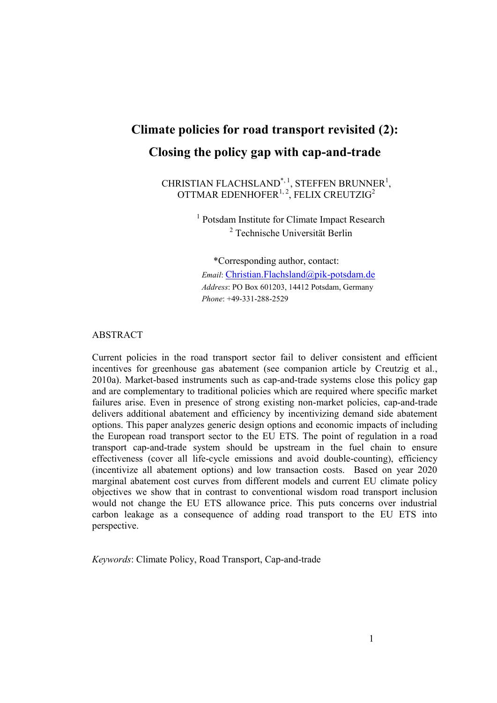# **Climate policies for road transport revisited (2): Closing the policy gap with cap-and-trade**

CHRISTIAN FLACHSLAND<sup>\*, 1</sup>, STEFFEN BRUNNER<sup>1</sup>, OTTMAR EDENHOFER $1, 2$ , FELIX CREUTZIG<sup>2</sup>

> <sup>1</sup> Potsdam Institute for Climate Impact Research 2 Technische Universität Berlin

\*Corresponding author, contact: *Email*: Christian.Flachsland@pik-potsdam.de *Address*: PO Box 601203, 14412 Potsdam, Germany *Phone*: +49-331-288-2529

### ABSTRACT

Current policies in the road transport sector fail to deliver consistent and efficient incentives for greenhouse gas abatement (see companion article by Creutzig et al., 2010a). Market-based instruments such as cap-and-trade systems close this policy gap and are complementary to traditional policies which are required where specific market failures arise. Even in presence of strong existing non-market policies, cap-and-trade delivers additional abatement and efficiency by incentivizing demand side abatement options. This paper analyzes generic design options and economic impacts of including the European road transport sector to the EU ETS. The point of regulation in a road transport cap-and-trade system should be upstream in the fuel chain to ensure effectiveness (cover all life-cycle emissions and avoid double-counting), efficiency (incentivize all abatement options) and low transaction costs. Based on year 2020 marginal abatement cost curves from different models and current EU climate policy objectives we show that in contrast to conventional wisdom road transport inclusion would not change the EU ETS allowance price. This puts concerns over industrial carbon leakage as a consequence of adding road transport to the EU ETS into perspective.

*Keywords*: Climate Policy, Road Transport, Cap-and-trade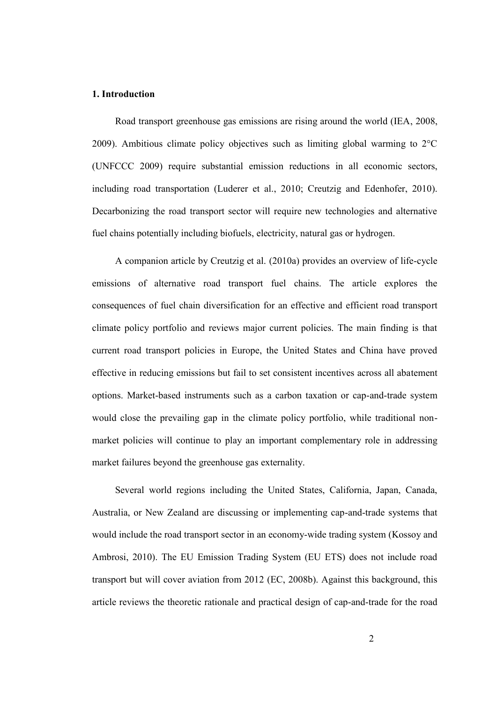## **1. Introduction**

Road transport greenhouse gas emissions are rising around the world (IEA, 2008, 2009). Ambitious climate policy objectives such as limiting global warming to 2°C (UNFCCC 2009) require substantial emission reductions in all economic sectors, including road transportation (Luderer et al., 2010; Creutzig and Edenhofer, 2010). Decarbonizing the road transport sector will require new technologies and alternative fuel chains potentially including biofuels, electricity, natural gas or hydrogen.

A companion article by Creutzig et al. (2010a) provides an overview of life-cycle emissions of alternative road transport fuel chains. The article explores the consequences of fuel chain diversification for an effective and efficient road transport climate policy portfolio and reviews major current policies. The main finding is that current road transport policies in Europe, the United States and China have proved effective in reducing emissions but fail to set consistent incentives across all abatement options. Market-based instruments such as a carbon taxation or cap-and-trade system would close the prevailing gap in the climate policy portfolio, while traditional nonmarket policies will continue to play an important complementary role in addressing market failures beyond the greenhouse gas externality.

Several world regions including the United States, California, Japan, Canada, Australia, or New Zealand are discussing or implementing cap-and-trade systems that would include the road transport sector in an economy-wide trading system (Kossoy and Ambrosi, 2010). The EU Emission Trading System (EU ETS) does not include road transport but will cover aviation from 2012 (EC, 2008b). Against this background, this article reviews the theoretic rationale and practical design of cap-and-trade for the road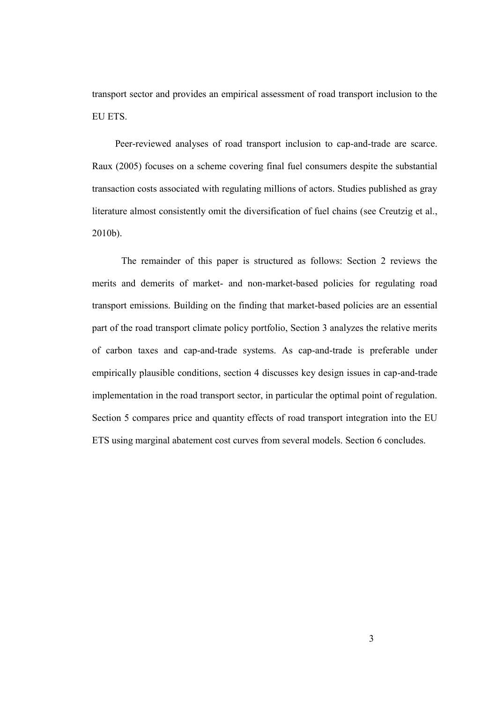transport sector and provides an empirical assessment of road transport inclusion to the EU ETS.

Peer-reviewed analyses of road transport inclusion to cap-and-trade are scarce. Raux (2005) focuses on a scheme covering final fuel consumers despite the substantial transaction costs associated with regulating millions of actors. Studies published as gray literature almost consistently omit the diversification of fuel chains (see Creutzig et al., 2010b).

The remainder of this paper is structured as follows: Section 2 reviews the merits and demerits of market- and non-market-based policies for regulating road transport emissions. Building on the finding that market-based policies are an essential part of the road transport climate policy portfolio, Section 3 analyzes the relative merits of carbon taxes and cap-and-trade systems. As cap-and-trade is preferable under empirically plausible conditions, section 4 discusses key design issues in cap-and-trade implementation in the road transport sector, in particular the optimal point of regulation. Section 5 compares price and quantity effects of road transport integration into the EU ETS using marginal abatement cost curves from several models. Section 6 concludes.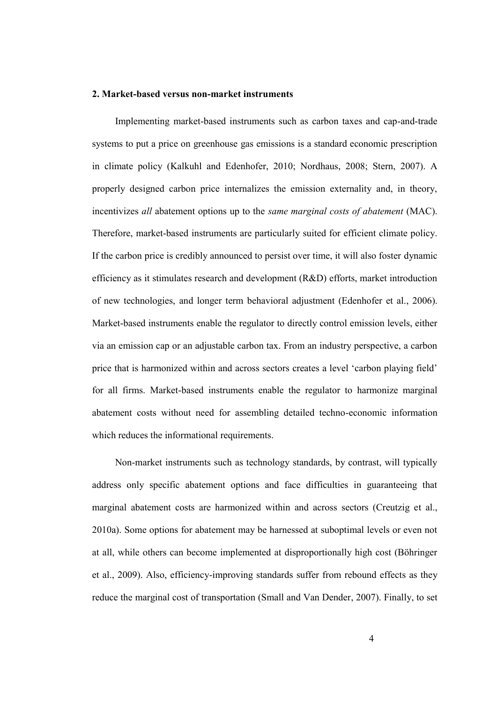#### **2. Market-based versus non-market instruments**

Implementing market-based instruments such as carbon taxes and cap-and-trade systems to put a price on greenhouse gas emissions is a standard economic prescription in climate policy (Kalkuhl and Edenhofer, 2010; Nordhaus, 2008; Stern, 2007). A properly designed carbon price internalizes the emission externality and, in theory, incentivizes *all* abatement options up to the *same marginal costs of abatement* (MAC). Therefore, market-based instruments are particularly suited for efficient climate policy. If the carbon price is credibly announced to persist over time, it will also foster dynamic efficiency as it stimulates research and development (R&D) efforts, market introduction of new technologies, and longer term behavioral adjustment (Edenhofer et al., 2006). Market-based instruments enable the regulator to directly control emission levels, either via an emission cap or an adjustable carbon tax. From an industry perspective, a carbon price that is harmonized within and across sectors creates a level 'carbon playing field' for all firms. Market-based instruments enable the regulator to harmonize marginal abatement costs without need for assembling detailed techno-economic information which reduces the informational requirements.

Non-market instruments such as technology standards, by contrast, will typically address only specific abatement options and face difficulties in guaranteeing that marginal abatement costs are harmonized within and across sectors (Creutzig et al., 2010a). Some options for abatement may be harnessed at suboptimal levels or even not at all, while others can become implemented at disproportionally high cost (Böhringer et al., 2009). Also, efficiency-improving standards suffer from rebound effects as they reduce the marginal cost of transportation (Small and Van Dender, 2007). Finally, to set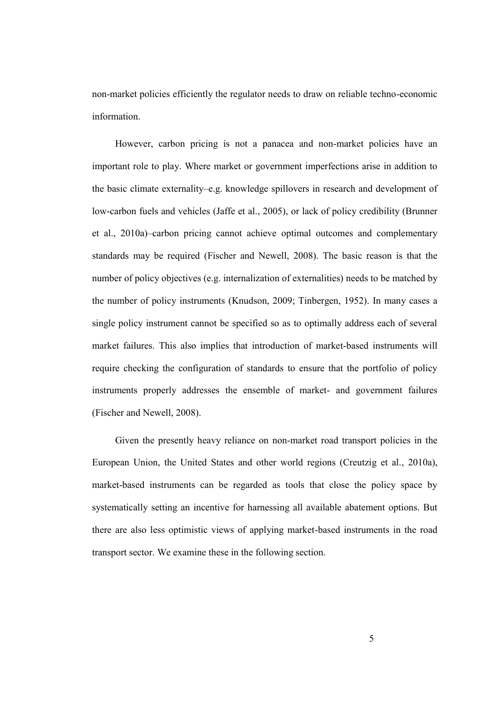non-market policies efficiently the regulator needs to draw on reliable techno-economic information.

However, carbon pricing is not a panacea and non-market policies have an important role to play. Where market or government imperfections arise in addition to the basic climate externality–e.g. knowledge spillovers in research and development of low-carbon fuels and vehicles (Jaffe et al., 2005), or lack of policy credibility (Brunner et al., 2010a)–carbon pricing cannot achieve optimal outcomes and complementary standards may be required (Fischer and Newell, 2008). The basic reason is that the number of policy objectives (e.g. internalization of externalities) needs to be matched by the number of policy instruments (Knudson, 2009; Tinbergen, 1952). In many cases a single policy instrument cannot be specified so as to optimally address each of several market failures. This also implies that introduction of market-based instruments will require checking the configuration of standards to ensure that the portfolio of policy instruments properly addresses the ensemble of market- and government failures (Fischer and Newell, 2008).

Given the presently heavy reliance on non-market road transport policies in the European Union, the United States and other world regions (Creutzig et al., 2010a), market-based instruments can be regarded as tools that close the policy space by systematically setting an incentive for harnessing all available abatement options. But there are also less optimistic views of applying market-based instruments in the road transport sector. We examine these in the following section.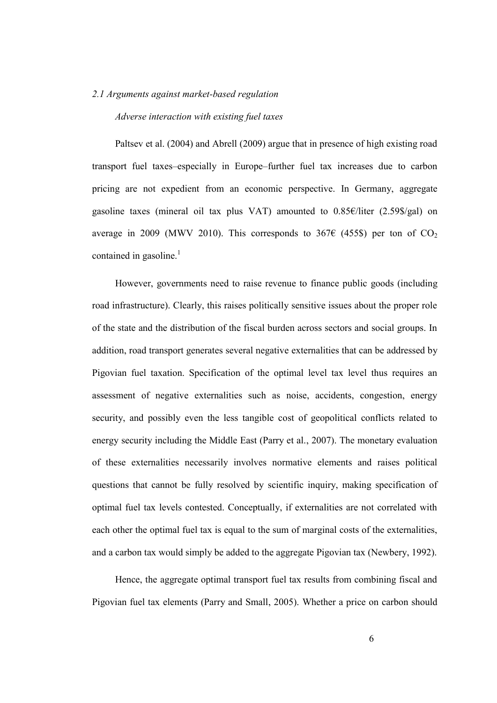#### *2.1 Arguments against market-based regulation*

#### *Adverse interaction with existing fuel taxes*

Paltsev et al. (2004) and Abrell (2009) argue that in presence of high existing road transport fuel taxes–especially in Europe–further fuel tax increases due to carbon pricing are not expedient from an economic perspective. In Germany, aggregate gasoline taxes (mineral oil tax plus VAT) amounted to 0.85€/liter (2.59\$/gal) on average in 2009 (MWV 2010). This corresponds to 367 $\epsilon$  (455\$) per ton of CO<sub>2</sub> contained in gasoline. $\frac{1}{1}$ 

However, governments need to raise revenue to finance public goods (including road infrastructure). Clearly, this raises politically sensitive issues about the proper role of the state and the distribution of the fiscal burden across sectors and social groups. In addition, road transport generates several negative externalities that can be addressed by Pigovian fuel taxation. Specification of the optimal level tax level thus requires an assessment of negative externalities such as noise, accidents, congestion, energy security, and possibly even the less tangible cost of geopolitical conflicts related to energy security including the Middle East (Parry et al., 2007). The monetary evaluation of these externalities necessarily involves normative elements and raises political questions that cannot be fully resolved by scientific inquiry, making specification of optimal fuel tax levels contested. Conceptually, if externalities are not correlated with each other the optimal fuel tax is equal to the sum of marginal costs of the externalities, and a carbon tax would simply be added to the aggregate Pigovian tax (Newbery, 1992).

Hence, the aggregate optimal transport fuel tax results from combining fiscal and Pigovian fuel tax elements (Parry and Small, 2005). Whether a price on carbon should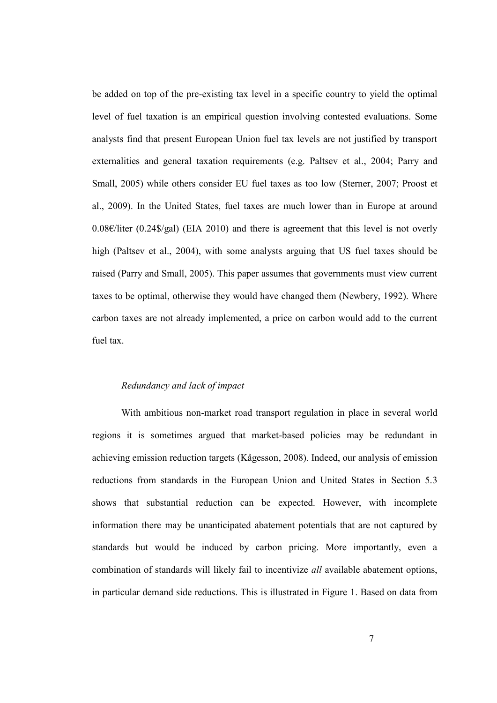be added on top of the pre-existing tax level in a specific country to yield the optimal level of fuel taxation is an empirical question involving contested evaluations. Some analysts find that present European Union fuel tax levels are not justified by transport externalities and general taxation requirements (e.g. Paltsev et al., 2004; Parry and Small, 2005) while others consider EU fuel taxes as too low (Sterner, 2007; Proost et al., 2009). In the United States, fuel taxes are much lower than in Europe at around 0.08€/liter (0.24\$/gal) (EIA 2010) and there is agreement that this level is not overly high (Paltsev et al., 2004), with some analysts arguing that US fuel taxes should be raised (Parry and Small, 2005). This paper assumes that governments must view current taxes to be optimal, otherwise they would have changed them (Newbery, 1992). Where carbon taxes are not already implemented, a price on carbon would add to the current fuel tax.

#### *Redundancy and lack of impact*

With ambitious non-market road transport regulation in place in several world regions it is sometimes argued that market-based policies may be redundant in achieving emission reduction targets (Kågesson, 2008). Indeed, our analysis of emission reductions from standards in the European Union and United States in Section 5.3 shows that substantial reduction can be expected. However, with incomplete information there may be unanticipated abatement potentials that are not captured by standards but would be induced by carbon pricing. More importantly, even a combination of standards will likely fail to incentivize *all* available abatement options, in particular demand side reductions. This is illustrated in Figure 1. Based on data from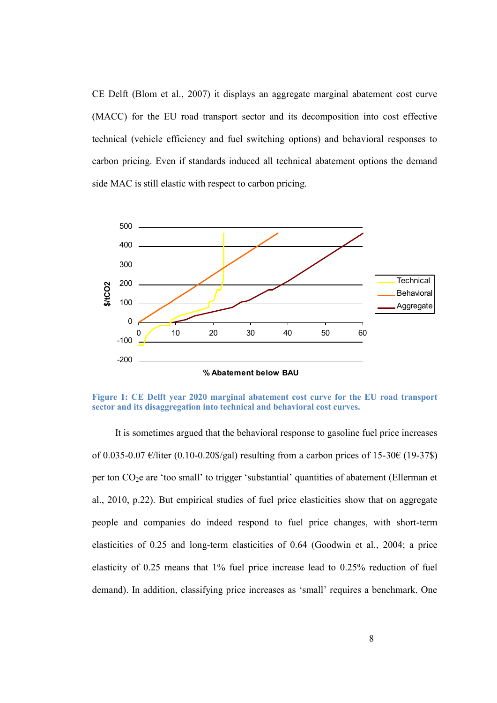CE Delft (Blom et al., 2007) it displays an aggregate marginal abatement cost curve (MACC) for the EU road transport sector and its decomposition into cost effective technical (vehicle efficiency and fuel switching options) and behavioral responses to carbon pricing. Even if standards induced all technical abatement options the demand side MAC is still elastic with respect to carbon pricing.



**Figure 1: CE Delft year 2020 marginal abatement cost curve for the EU road transport sector and its disaggregation into technical and behavioral cost curves.**

It is sometimes argued that the behavioral response to gasoline fuel price increases of 0.035-0.07 €/liter (0.10-0.20\$/gal) resulting from a carbon prices of 15-30€ (19-37\$) per ton CO2e are 'too small' to trigger 'substantial' quantities of abatement (Ellerman et al., 2010, p.22). But empirical studies of fuel price elasticities show that on aggregate people and companies do indeed respond to fuel price changes, with short-term elasticities of 0.25 and long-term elasticities of 0.64 (Goodwin et al., 2004; a price elasticity of 0.25 means that 1% fuel price increase lead to 0.25% reduction of fuel demand). In addition, classifying price increases as 'small' requires a benchmark. One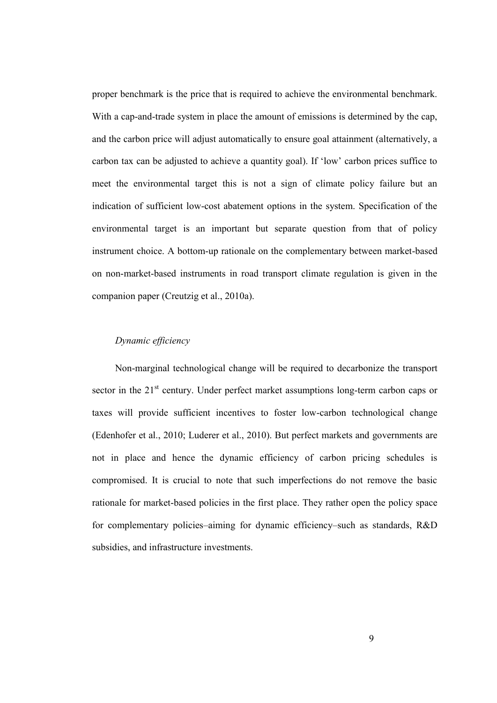proper benchmark is the price that is required to achieve the environmental benchmark. With a cap-and-trade system in place the amount of emissions is determined by the cap, and the carbon price will adjust automatically to ensure goal attainment (alternatively, a carbon tax can be adjusted to achieve a quantity goal). If 'low' carbon prices suffice to meet the environmental target this is not a sign of climate policy failure but an indication of sufficient low-cost abatement options in the system. Specification of the environmental target is an important but separate question from that of policy instrument choice. A bottom-up rationale on the complementary between market-based on non-market-based instruments in road transport climate regulation is given in the companion paper (Creutzig et al., 2010a).

# *Dynamic efficiency*

Non-marginal technological change will be required to decarbonize the transport sector in the  $21<sup>st</sup>$  century. Under perfect market assumptions long-term carbon caps or taxes will provide sufficient incentives to foster low-carbon technological change (Edenhofer et al., 2010; Luderer et al., 2010). But perfect markets and governments are not in place and hence the dynamic efficiency of carbon pricing schedules is compromised. It is crucial to note that such imperfections do not remove the basic rationale for market-based policies in the first place. They rather open the policy space for complementary policies–aiming for dynamic efficiency–such as standards, R&D subsidies, and infrastructure investments.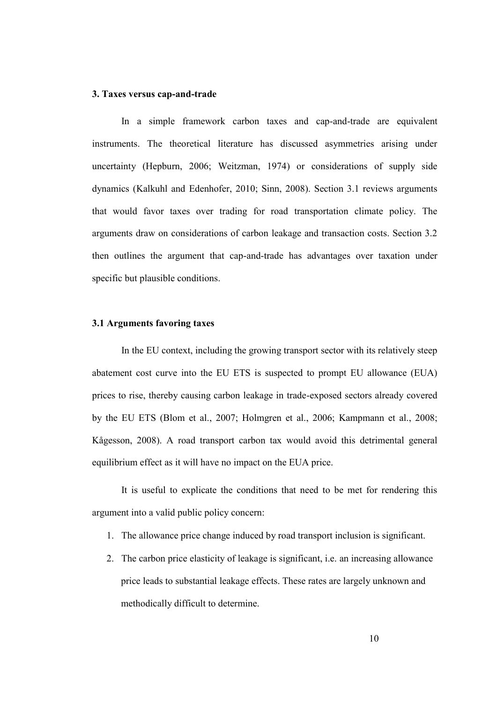#### **3. Taxes versus cap-and-trade**

In a simple framework carbon taxes and cap-and-trade are equivalent instruments. The theoretical literature has discussed asymmetries arising under uncertainty (Hepburn, 2006; Weitzman, 1974) or considerations of supply side dynamics (Kalkuhl and Edenhofer, 2010; Sinn, 2008). Section 3.1 reviews arguments that would favor taxes over trading for road transportation climate policy. The arguments draw on considerations of carbon leakage and transaction costs. Section 3.2 then outlines the argument that cap-and-trade has advantages over taxation under specific but plausible conditions.

#### **3.1 Arguments favoring taxes**

In the EU context, including the growing transport sector with its relatively steep abatement cost curve into the EU ETS is suspected to prompt EU allowance (EUA) prices to rise, thereby causing carbon leakage in trade-exposed sectors already covered by the EU ETS (Blom et al., 2007; Holmgren et al., 2006; Kampmann et al., 2008; Kågesson, 2008). A road transport carbon tax would avoid this detrimental general equilibrium effect as it will have no impact on the EUA price.

It is useful to explicate the conditions that need to be met for rendering this argument into a valid public policy concern:

- 1. The allowance price change induced by road transport inclusion is significant.
- The carbon price elasticity of leakage is significant, i.e. an increasing allowance price leads to substantial leakage effects. These rates are largely unknown and methodically difficult to determine.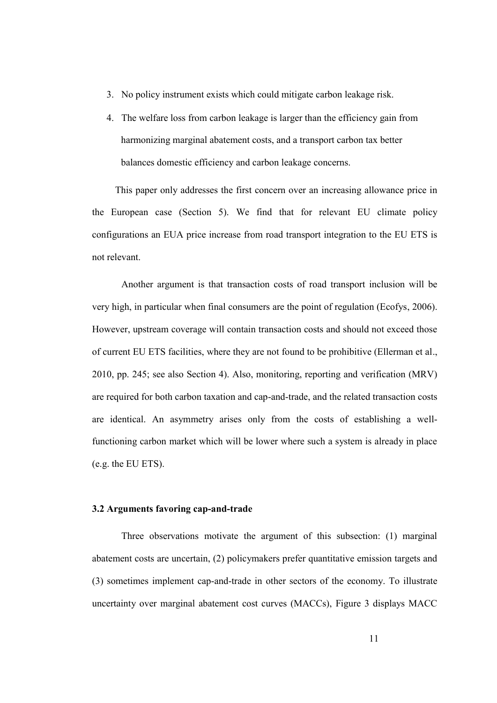- No policy instrument exists which could mitigate carbon leakage risk.
- The welfare loss from carbon leakage is larger than the efficiency gain from harmonizing marginal abatement costs, and a transport carbon tax better balances domestic efficiency and carbon leakage concerns.

This paper only addresses the first concern over an increasing allowance price in the European case (Section 5). We find that for relevant EU climate policy configurations an EUA price increase from road transport integration to the EU ETS is not relevant.

Another argument is that transaction costs of road transport inclusion will be very high, in particular when final consumers are the point of regulation (Ecofys, 2006). However, upstream coverage will contain transaction costs and should not exceed those of current EU ETS facilities, where they are not found to be prohibitive (Ellerman et al., 2010, pp. 245; see also Section 4). Also, monitoring, reporting and verification (MRV) are required for both carbon taxation and cap-and-trade, and the related transaction costs are identical. An asymmetry arises only from the costs of establishing a wellfunctioning carbon market which will be lower where such a system is already in place (e.g. the EU ETS).

# **3.2 Arguments favoring cap-and-trade**

Three observations motivate the argument of this subsection: (1) marginal abatement costs are uncertain, (2) policymakers prefer quantitative emission targets and (3) sometimes implement cap-and-trade in other sectors of the economy. To illustrate uncertainty over marginal abatement cost curves (MACCs), Figure 3 displays MACC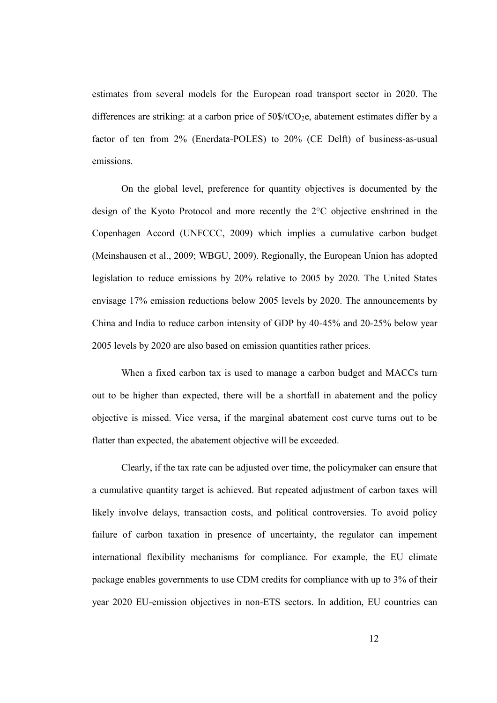estimates from several models for the European road transport sector in 2020. The differences are striking: at a carbon price of  $50\$/tCO_2e$ , abatement estimates differ by a factor of ten from 2% (Enerdata-POLES) to 20% (CE Delft) of business-as-usual emissions.

On the global level, preference for quantity objectives is documented by the design of the Kyoto Protocol and more recently the 2°C objective enshrined in the Copenhagen Accord (UNFCCC, 2009) which implies a cumulative carbon budget (Meinshausen et al., 2009; WBGU, 2009). Regionally, the European Union has adopted legislation to reduce emissions by 20% relative to 2005 by 2020. The United States envisage 17% emission reductions below 2005 levels by 2020. The announcements by China and India to reduce carbon intensity of GDP by 40-45% and 20-25% below year 2005 levels by 2020 are also based on emission quantities rather prices.

When a fixed carbon tax is used to manage a carbon budget and MACCs turn out to be higher than expected, there will be a shortfall in abatement and the policy objective is missed. Vice versa, if the marginal abatement cost curve turns out to be flatter than expected, the abatement objective will be exceeded.

Clearly, if the tax rate can be adjusted over time, the policymaker can ensure that a cumulative quantity target is achieved. But repeated adjustment of carbon taxes will likely involve delays, transaction costs, and political controversies. To avoid policy failure of carbon taxation in presence of uncertainty, the regulator can impement international flexibility mechanisms for compliance. For example, the EU climate package enables governments to use CDM credits for compliance with up to 3% of their year 2020 EU-emission objectives in non-ETS sectors. In addition, EU countries can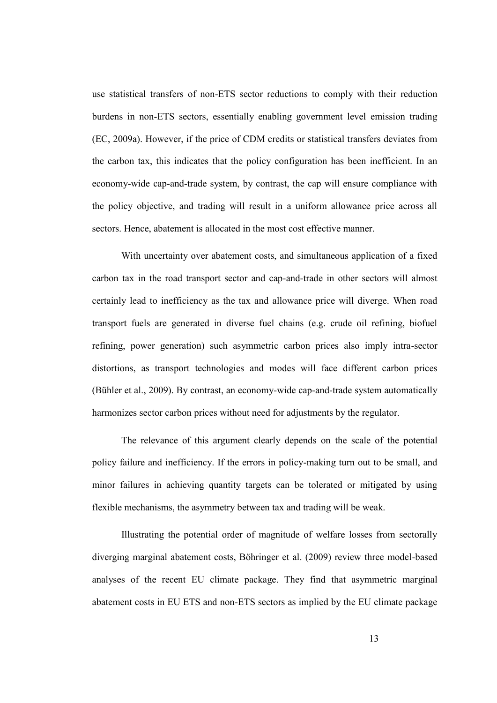use statistical transfers of non-ETS sector reductions to comply with their reduction burdens in non-ETS sectors, essentially enabling government level emission trading (EC, 2009a). However, if the price of CDM credits or statistical transfers deviates from the carbon tax, this indicates that the policy configuration has been inefficient. In an economy-wide cap-and-trade system, by contrast, the cap will ensure compliance with the policy objective, and trading will result in a uniform allowance price across all sectors. Hence, abatement is allocated in the most cost effective manner.

With uncertainty over abatement costs, and simultaneous application of a fixed carbon tax in the road transport sector and cap-and-trade in other sectors will almost certainly lead to inefficiency as the tax and allowance price will diverge. When road transport fuels are generated in diverse fuel chains (e.g. crude oil refining, biofuel refining, power generation) such asymmetric carbon prices also imply intra-sector distortions, as transport technologies and modes will face different carbon prices (Bühler et al., 2009). By contrast, an economy-wide cap-and-trade system automatically harmonizes sector carbon prices without need for adjustments by the regulator.

The relevance of this argument clearly depends on the scale of the potential policy failure and inefficiency. If the errors in policy-making turn out to be small, and minor failures in achieving quantity targets can be tolerated or mitigated by using flexible mechanisms, the asymmetry between tax and trading will be weak.

Illustrating the potential order of magnitude of welfare losses from sectorally diverging marginal abatement costs, Böhringer et al. (2009) review three model-based analyses of the recent EU climate package. They find that asymmetric marginal abatement costs in EU ETS and non-ETS sectors as implied by the EU climate package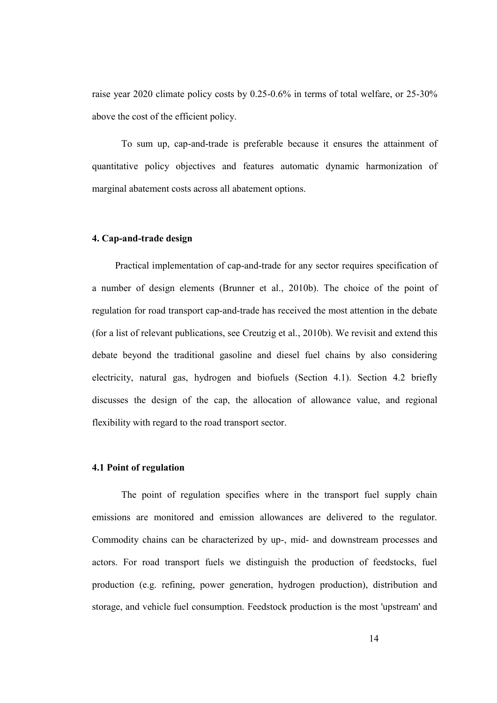raise year 2020 climate policy costs by 0.25-0.6% in terms of total welfare, or 25-30% above the cost of the efficient policy.

To sum up, cap-and-trade is preferable because it ensures the attainment of quantitative policy objectives and features automatic dynamic harmonization of marginal abatement costs across all abatement options.

#### **4. Cap-and-trade design**

Practical implementation of cap-and-trade for any sector requires specification of a number of design elements (Brunner et al., 2010b). The choice of the point of regulation for road transport cap-and-trade has received the most attention in the debate (for a list of relevant publications, see Creutzig et al., 2010b). We revisit and extend this debate beyond the traditional gasoline and diesel fuel chains by also considering electricity, natural gas, hydrogen and biofuels (Section 4.1). Section 4.2 briefly discusses the design of the cap, the allocation of allowance value, and regional flexibility with regard to the road transport sector.

#### **4.1 Point of regulation**

The point of regulation specifies where in the transport fuel supply chain emissions are monitored and emission allowances are delivered to the regulator. Commodity chains can be characterized by up-, mid- and downstream processes and actors. For road transport fuels we distinguish the production of feedstocks, fuel production (e.g. refining, power generation, hydrogen production), distribution and storage, and vehicle fuel consumption. Feedstock production is the most 'upstream' and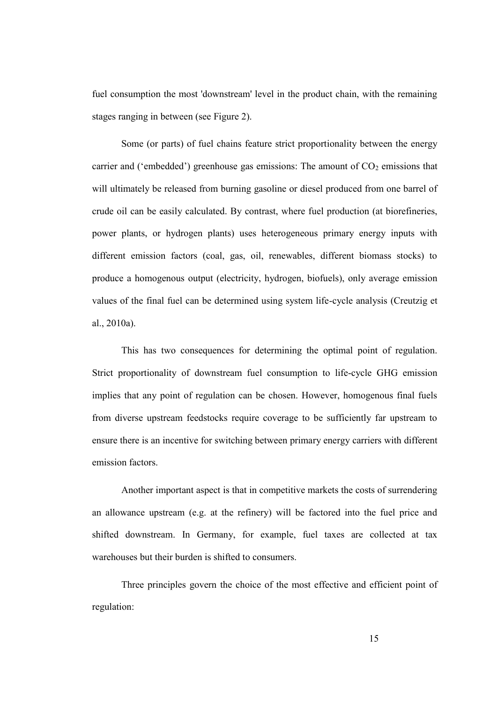fuel consumption the most 'downstream' level in the product chain, with the remaining stages ranging in between (see Figure 2).

Some (or parts) of fuel chains feature strict proportionality between the energy carrier and ('embedded') greenhouse gas emissions: The amount of  $CO<sub>2</sub>$  emissions that will ultimately be released from burning gasoline or diesel produced from one barrel of crude oil can be easily calculated. By contrast, where fuel production (at biorefineries, power plants, or hydrogen plants) uses heterogeneous primary energy inputs with different emission factors (coal, gas, oil, renewables, different biomass stocks) to produce a homogenous output (electricity, hydrogen, biofuels), only average emission values of the final fuel can be determined using system life-cycle analysis (Creutzig et al., 2010a).

This has two consequences for determining the optimal point of regulation. Strict proportionality of downstream fuel consumption to life-cycle GHG emission implies that any point of regulation can be chosen. However, homogenous final fuels from diverse upstream feedstocks require coverage to be sufficiently far upstream to ensure there is an incentive for switching between primary energy carriers with different emission factors.

Another important aspect is that in competitive markets the costs of surrendering an allowance upstream (e.g. at the refinery) will be factored into the fuel price and shifted downstream. In Germany, for example, fuel taxes are collected at tax warehouses but their burden is shifted to consumers.

Three principles govern the choice of the most effective and efficient point of regulation: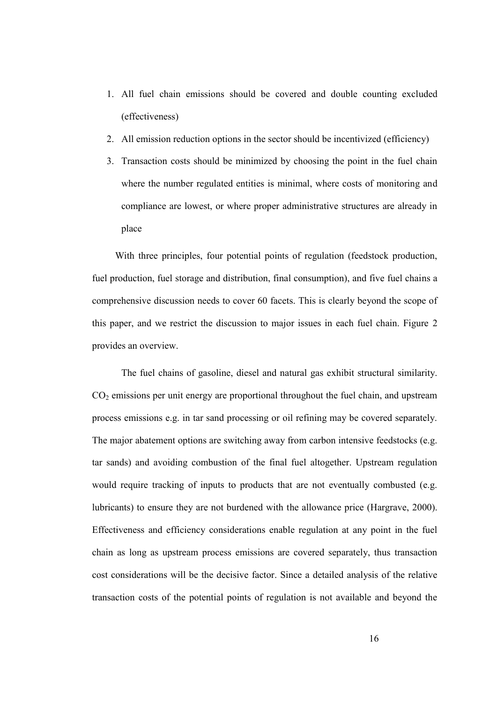- 1. All fuel chain emissions should be covered and double counting excluded (effectiveness)
- 2. All emission reduction options in the sector should be incentivized (efficiency)
- 3. Transaction costs should be minimized by choosing the point in the fuel chain where the number regulated entities is minimal, where costs of monitoring and compliance are lowest, or where proper administrative structures are already in place

With three principles, four potential points of regulation (feedstock production, fuel production, fuel storage and distribution, final consumption), and five fuel chains a comprehensive discussion needs to cover 60 facets. This is clearly beyond the scope of this paper, and we restrict the discussion to major issues in each fuel chain. Figure 2 provides an overview.

The fuel chains of gasoline, diesel and natural gas exhibit structural similarity.  $CO<sub>2</sub>$  emissions per unit energy are proportional throughout the fuel chain, and upstream process emissions e.g. in tar sand processing or oil refining may be covered separately. The major abatement options are switching away from carbon intensive feedstocks (e.g. tar sands) and avoiding combustion of the final fuel altogether. Upstream regulation would require tracking of inputs to products that are not eventually combusted (e.g. lubricants) to ensure they are not burdened with the allowance price (Hargrave, 2000). Effectiveness and efficiency considerations enable regulation at any point in the fuel chain as long as upstream process emissions are covered separately, thus transaction cost considerations will be the decisive factor. Since a detailed analysis of the relative transaction costs of the potential points of regulation is not available and beyond the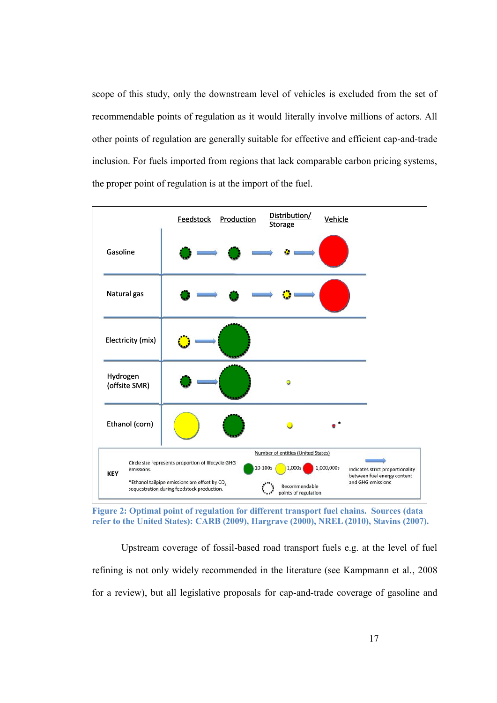scope of this study, only the downstream level of vehicles is excluded from the set of recommendable points of regulation as it would literally involve millions of actors. All other points of regulation are generally suitable for effective and efficient cap-and-trade inclusion. For fuels imported from regions that lack comparable carbon pricing systems, the proper point of regulation is at the import of the fuel.



**Figure 2: Optimal point of regulation for different transport fuel chains. Sources (data refer to the United States): CARB (2009), Hargrave (2000), NREL (2010), Stavins (2007).**

Upstream coverage of fossil-based road transport fuels e.g. at the level of fuel refining is not only widely recommended in the literature (see Kampmann et al., 2008 for a review), but all legislative proposals for cap-and-trade coverage of gasoline and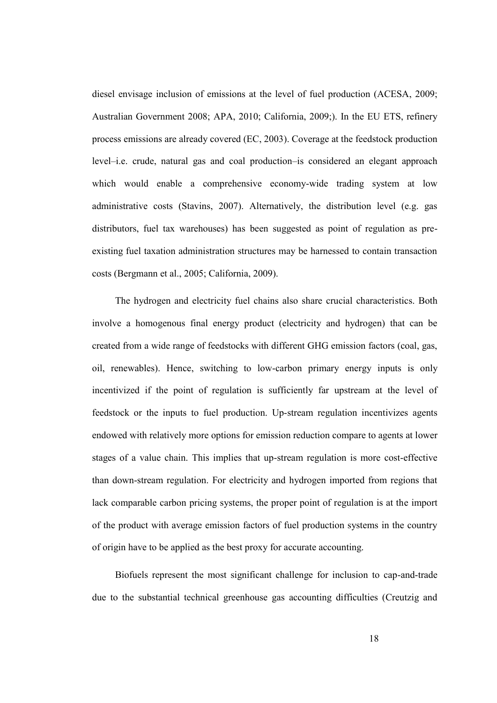diesel envisage inclusion of emissions at the level of fuel production (ACESA, 2009; Australian Government 2008; APA, 2010; California, 2009;). In the EU ETS, refinery process emissions are already covered (EC, 2003). Coverage at the feedstock production level–i.e. crude, natural gas and coal production–is considered an elegant approach which would enable a comprehensive economy-wide trading system at low administrative costs (Stavins, 2007). Alternatively, the distribution level (e.g. gas distributors, fuel tax warehouses) has been suggested as point of regulation as preexisting fuel taxation administration structures may be harnessed to contain transaction costs (Bergmann et al., 2005; California, 2009).

The hydrogen and electricity fuel chains also share crucial characteristics. Both involve a homogenous final energy product (electricity and hydrogen) that can be created from a wide range of feedstocks with different GHG emission factors (coal, gas, oil, renewables). Hence, switching to low-carbon primary energy inputs is only incentivized if the point of regulation is sufficiently far upstream at the level of feedstock or the inputs to fuel production. Up-stream regulation incentivizes agents endowed with relatively more options for emission reduction compare to agents at lower stages of a value chain. This implies that up-stream regulation is more cost-effective than down-stream regulation. For electricity and hydrogen imported from regions that lack comparable carbon pricing systems, the proper point of regulation is at the import of the product with average emission factors of fuel production systems in the country of origin have to be applied as the best proxy for accurate accounting.

Biofuels represent the most significant challenge for inclusion to cap-and-trade due to the substantial technical greenhouse gas accounting difficulties (Creutzig and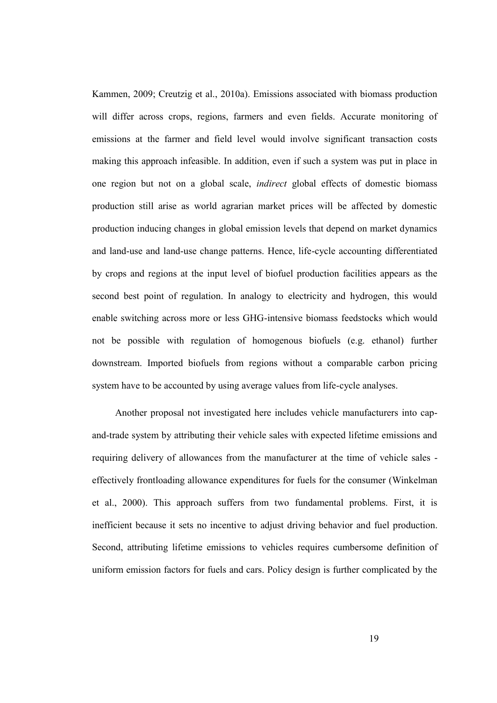Kammen, 2009; Creutzig et al., 2010a). Emissions associated with biomass production will differ across crops, regions, farmers and even fields. Accurate monitoring of emissions at the farmer and field level would involve significant transaction costs making this approach infeasible. In addition, even if such a system was put in place in one region but not on a global scale, *indirect* global effects of domestic biomass production still arise as world agrarian market prices will be affected by domestic production inducing changes in global emission levels that depend on market dynamics and land-use and land-use change patterns. Hence, life-cycle accounting differentiated by crops and regions at the input level of biofuel production facilities appears as the second best point of regulation. In analogy to electricity and hydrogen, this would enable switching across more or less GHG-intensive biomass feedstocks which would not be possible with regulation of homogenous biofuels (e.g. ethanol) further downstream. Imported biofuels from regions without a comparable carbon pricing system have to be accounted by using average values from life-cycle analyses.

Another proposal not investigated here includes vehicle manufacturers into capand-trade system by attributing their vehicle sales with expected lifetime emissions and requiring delivery of allowances from the manufacturer at the time of vehicle sales effectively frontloading allowance expenditures for fuels for the consumer (Winkelman et al., 2000). This approach suffers from two fundamental problems. First, it is inefficient because it sets no incentive to adjust driving behavior and fuel production. Second, attributing lifetime emissions to vehicles requires cumbersome definition of uniform emission factors for fuels and cars. Policy design is further complicated by the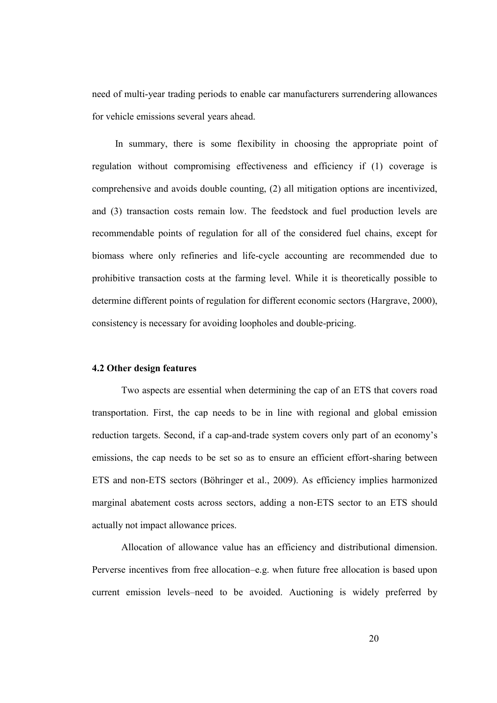need of multi-year trading periods to enable car manufacturers surrendering allowances for vehicle emissions several years ahead.

In summary, there is some flexibility in choosing the appropriate point of regulation without compromising effectiveness and efficiency if (1) coverage is comprehensive and avoids double counting, (2) all mitigation options are incentivized, and (3) transaction costs remain low. The feedstock and fuel production levels are recommendable points of regulation for all of the considered fuel chains, except for biomass where only refineries and life-cycle accounting are recommended due to prohibitive transaction costs at the farming level. While it is theoretically possible to determine different points of regulation for different economic sectors (Hargrave, 2000), consistency is necessary for avoiding loopholes and double-pricing.

#### **4.2 Other design features**

Two aspects are essential when determining the cap of an ETS that covers road transportation. First, the cap needs to be in line with regional and global emission reduction targets. Second, if a cap-and-trade system covers only part of an economy's emissions, the cap needs to be set so as to ensure an efficient effort-sharing between ETS and non-ETS sectors (Böhringer et al., 2009). As efficiency implies harmonized marginal abatement costs across sectors, adding a non-ETS sector to an ETS should actually not impact allowance prices.

Allocation of allowance value has an efficiency and distributional dimension. Perverse incentives from free allocation–e.g. when future free allocation is based upon current emission levels–need to be avoided. Auctioning is widely preferred by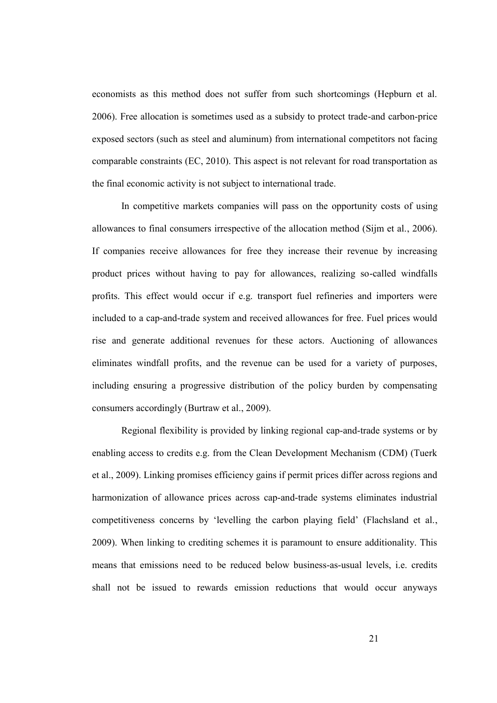economists as this method does not suffer from such shortcomings (Hepburn et al. 2006). Free allocation is sometimes used as a subsidy to protect trade-and carbon-price exposed sectors (such as steel and aluminum) from international competitors not facing comparable constraints (EC, 2010). This aspect is not relevant for road transportation as the final economic activity is not subject to international trade.

In competitive markets companies will pass on the opportunity costs of using allowances to final consumers irrespective of the allocation method (Sijm et al., 2006). If companies receive allowances for free they increase their revenue by increasing product prices without having to pay for allowances, realizing so-called windfalls profits. This effect would occur if e.g. transport fuel refineries and importers were included to a cap-and-trade system and received allowances for free. Fuel prices would rise and generate additional revenues for these actors. Auctioning of allowances eliminates windfall profits, and the revenue can be used for a variety of purposes, including ensuring a progressive distribution of the policy burden by compensating consumers accordingly (Burtraw et al., 2009).

Regional flexibility is provided by linking regional cap-and-trade systems or by enabling access to credits e.g. from the Clean Development Mechanism (CDM) (Tuerk et al., 2009). Linking promises efficiency gains if permit prices differ across regions and harmonization of allowance prices across cap-and-trade systems eliminates industrial competitiveness concerns by 'levelling the carbon playing field' (Flachsland et al., 2009). When linking to crediting schemes it is paramount to ensure additionality. This means that emissions need to be reduced below business-as-usual levels, i.e. credits shall not be issued to rewards emission reductions that would occur anyways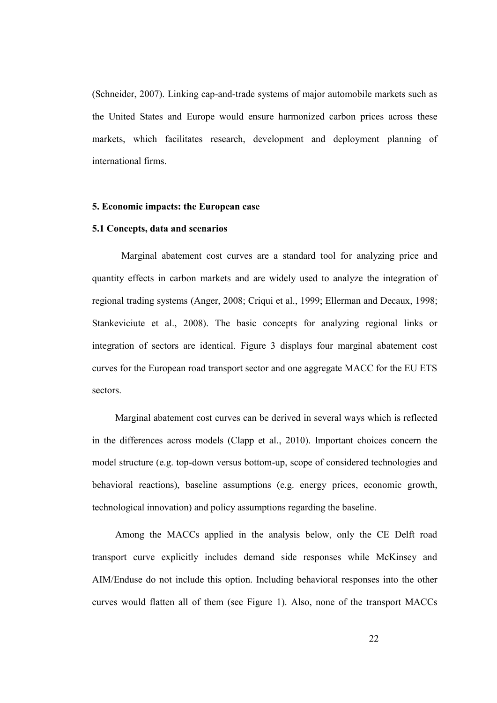(Schneider, 2007). Linking cap-and-trade systems of major automobile markets such as the United States and Europe would ensure harmonized carbon prices across these markets, which facilitates research, development and deployment planning of international firms.

#### **5. Economic impacts: the European case**

## **5.1 Concepts, data and scenarios**

Marginal abatement cost curves are a standard tool for analyzing price and quantity effects in carbon markets and are widely used to analyze the integration of regional trading systems (Anger, 2008; Criqui et al., 1999; Ellerman and Decaux, 1998; Stankeviciute et al., 2008). The basic concepts for analyzing regional links or integration of sectors are identical. Figure 3 displays four marginal abatement cost curves for the European road transport sector and one aggregate MACC for the EU ETS sectors.

Marginal abatement cost curves can be derived in several ways which is reflected in the differences across models (Clapp et al., 2010). Important choices concern the model structure (e.g. top-down versus bottom-up, scope of considered technologies and behavioral reactions), baseline assumptions (e.g. energy prices, economic growth, technological innovation) and policy assumptions regarding the baseline.

Among the MACCs applied in the analysis below, only the CE Delft road transport curve explicitly includes demand side responses while McKinsey and AIM/Enduse do not include this option. Including behavioral responses into the other curves would flatten all of them (see Figure 1). Also, none of the transport MACCs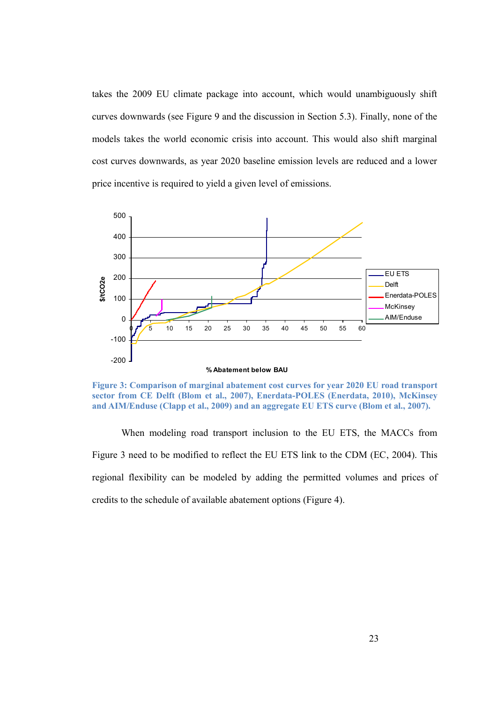takes the 2009 EU climate package into account, which would unambiguously shift curves downwards (see Figure 9 and the discussion in Section 5.3). Finally, none of the models takes the world economic crisis into account. This would also shift marginal cost curves downwards, as year 2020 baseline emission levels are reduced and a lower price incentive is required to yield a given level of emissions.



**Figure 3: Comparison of marginal abatement cost curves for year 2020 EU road transport sector from CE Delft (Blom et al., 2007), Enerdata-POLES (Enerdata, 2010), McKinsey and AIM/Enduse (Clapp et al., 2009) and an aggregate EU ETS curve (Blom et al., 2007).**

When modeling road transport inclusion to the EU ETS, the MACCs from Figure 3 need to be modified to reflect the EU ETS link to the CDM (EC, 2004). This regional flexibility can be modeled by adding the permitted volumes and prices of credits to the schedule of available abatement options (Figure 4).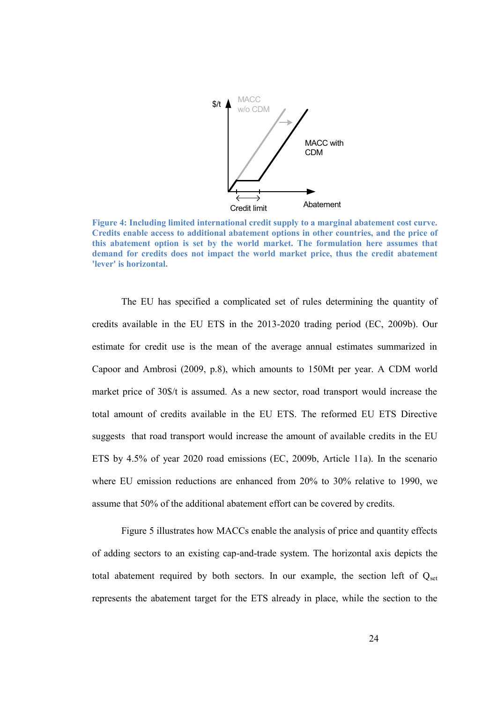

**Figure 4: Including limited international credit supply to a marginal abatement cost curve. Credits enable access to additional abatement options in other countries, and the price of this abatement option is set by the world market. The formulation here assumes that demand for credits does not impact the world market price, thus the credit abatement 'lever' is horizontal.**

The EU has specified a complicated set of rules determining the quantity of credits available in the EU ETS in the 2013-2020 trading period (EC, 2009b). Our estimate for credit use is the mean of the average annual estimates summarized in Capoor and Ambrosi (2009, p.8), which amounts to 150Mt per year. A CDM world market price of 30\$/t is assumed. As a new sector, road transport would increase the total amount of credits available in the EU ETS. The reformed EU ETS Directive suggests that road transport would increase the amount of available credits in the EU ETS by 4.5% of year 2020 road emissions (EC, 2009b, Article 11a). In the scenario where EU emission reductions are enhanced from 20% to 30% relative to 1990, we assume that 50% of the additional abatement effort can be covered by credits.

Figure 5 illustrates how MACCs enable the analysis of price and quantity effects of adding sectors to an existing cap-and-trade system. The horizontal axis depicts the total abatement required by both sectors. In our example, the section left of  $Q_{set}$ represents the abatement target for the ETS already in place, while the section to the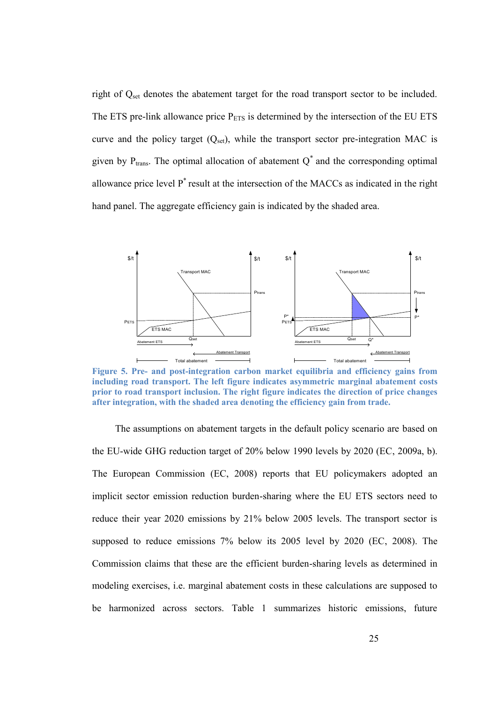right of Q<sub>set</sub> denotes the abatement target for the road transport sector to be included. The ETS pre-link allowance price  $P_{ETS}$  is determined by the intersection of the EU ETS curve and the policy target  $(Q_{set})$ , while the transport sector pre-integration MAC is given by  $P_{trans}$ . The optimal allocation of abatement  $Q^*$  and the corresponding optimal allowance price level P\* result at the intersection of the MACCs as indicated in the right hand panel. The aggregate efficiency gain is indicated by the shaded area.



**Figure 5. Pre- and post-integration carbon market equilibria and efficiency gains from including road transport. The left figure indicates asymmetric marginal abatement costs prior to road transport inclusion. The right figure indicates the direction of price changes after integration, with the shaded area denoting the efficiency gain from trade.**

The assumptions on abatement targets in the default policy scenario are based on the EU-wide GHG reduction target of 20% below 1990 levels by 2020 (EC, 2009a, b). The European Commission (EC, 2008) reports that EU policymakers adopted an implicit sector emission reduction burden-sharing where the EU ETS sectors need to reduce their year 2020 emissions by 21% below 2005 levels. The transport sector is supposed to reduce emissions 7% below its 2005 level by 2020 (EC, 2008). The Commission claims that these are the efficient burden-sharing levels as determined in modeling exercises, i.e. marginal abatement costs in these calculations are supposed to be harmonized across sectors. Table 1 summarizes historic emissions, future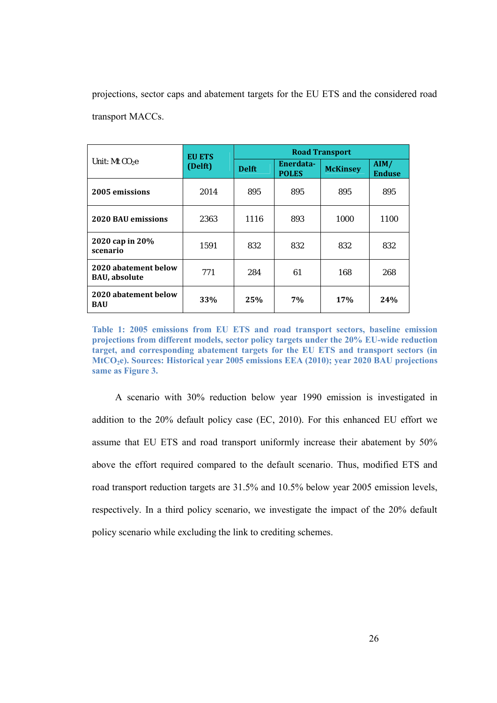projections, sector caps and abatement targets for the EU ETS and the considered road transport MACCs.

| Unit: Mt CO <sub>2</sub> e                    | <b>EU ETS</b><br>(Delft) | <b>Road Transport</b> |                           |                 |                       |
|-----------------------------------------------|--------------------------|-----------------------|---------------------------|-----------------|-----------------------|
|                                               |                          | <b>Delft</b>          | Enerdata-<br><b>POLES</b> | <b>McKinsey</b> | AIM/<br><b>Enduse</b> |
| 2005 emissions                                | 2014                     | 895                   | 895                       | 895             | 895                   |
| <b>2020 BAU emissions</b>                     | 2363                     | 1116                  | 893                       | 1000            | 1100                  |
| 2020 cap in 20%<br>scenario                   | 1591                     | 832                   | 832                       | 832             | 832                   |
| 2020 abatement below<br><b>BAU</b> , absolute | 771                      | 284                   | 61                        | 168             | 268                   |
| 2020 abatement below<br><b>BAU</b>            | 33%                      | 25%                   | 7%                        | 17%             | 24%                   |

**Table 1: 2005 emissions from EU ETS and road transport sectors, baseline emission projections from different models, sector policy targets under the 20% EU-wide reduction target, and corresponding abatement targets for the EU ETS and transport sectors (in MtCO2e). Sources: Historical year 2005 emissions EEA (2010); year 2020 BAU projections same as Figure 3.**

A scenario with 30% reduction below year 1990 emission is investigated in addition to the 20% default policy case (EC, 2010). For this enhanced EU effort we assume that EU ETS and road transport uniformly increase their abatement by 50% above the effort required compared to the default scenario. Thus, modified ETS and road transport reduction targets are 31.5% and 10.5% below year 2005 emission levels, respectively. In a third policy scenario, we investigate the impact of the 20% default policy scenario while excluding the link to crediting schemes.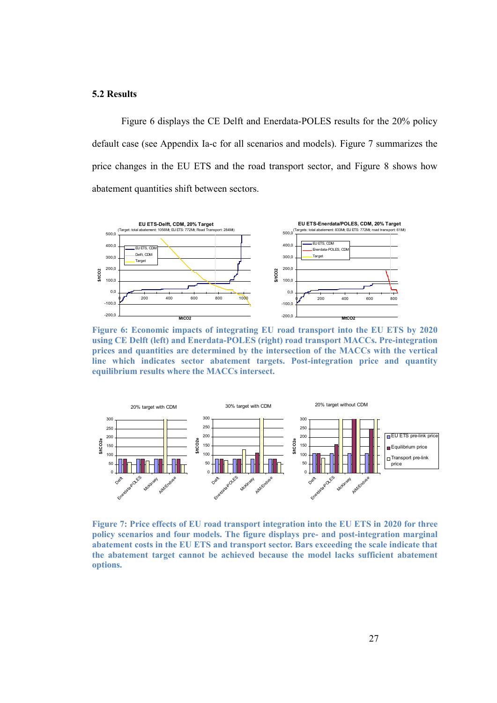#### **5.2 Results**

Figure 6 displays the CE Delft and Enerdata-POLES results for the 20% policy default case (see Appendix Ia-c for all scenarios and models). Figure 7 summarizes the price changes in the EU ETS and the road transport sector, and Figure 8 shows how abatement quantities shift between sectors.



**Figure 6: Economic impacts of integrating EU road transport into the EU ETS by 2020 using CE Delft (left) and Enerdata-POLES (right) road transport MACCs. Pre-integration prices and quantities are determined by the intersection of the MACCs with the vertical line which indicates sector abatement targets. Post-integration price and quantity equilibrium results where the MACCs intersect.**



**Figure 7: Price effects of EU road transport integration into the EU ETS in 2020 for three policy scenarios and four models. The figure displays pre- and post-integration marginal abatement costs in the EU ETS and transport sector. Bars exceeding the scale indicate that the abatement target cannot be achieved because the model lacks sufficient abatement options.**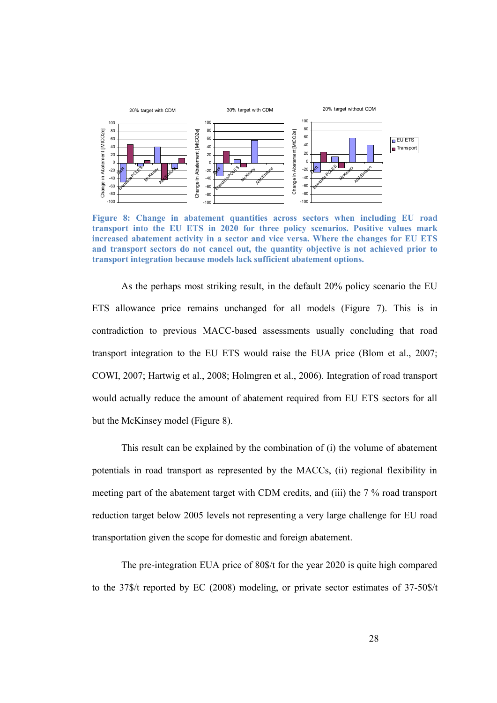

**Figure 8: Change in abatement quantities across sectors when including EU road transport into the EU ETS in 2020 for three policy scenarios. Positive values mark increased abatement activity in a sector and vice versa. Where the changes for EU ETS and transport sectors do not cancel out, the quantity objective is not achieved prior to transport integration because models lack sufficient abatement options.**

As the perhaps most striking result, in the default 20% policy scenario the EU ETS allowance price remains unchanged for all models (Figure 7). This is in contradiction to previous MACC-based assessments usually concluding that road transport integration to the EU ETS would raise the EUA price (Blom et al., 2007; COWI, 2007; Hartwig et al., 2008; Holmgren et al., 2006). Integration of road transport would actually reduce the amount of abatement required from EU ETS sectors for all but the McKinsey model (Figure 8).

This result can be explained by the combination of (i) the volume of abatement potentials in road transport as represented by the MACCs, (ii) regional flexibility in meeting part of the abatement target with CDM credits, and (iii) the 7 % road transport reduction target below 2005 levels not representing a very large challenge for EU road transportation given the scope for domestic and foreign abatement.

The pre-integration EUA price of 80\$/t for the year 2020 is quite high compared to the 37\$/t reported by EC (2008) modeling, or private sector estimates of 37-50\$/t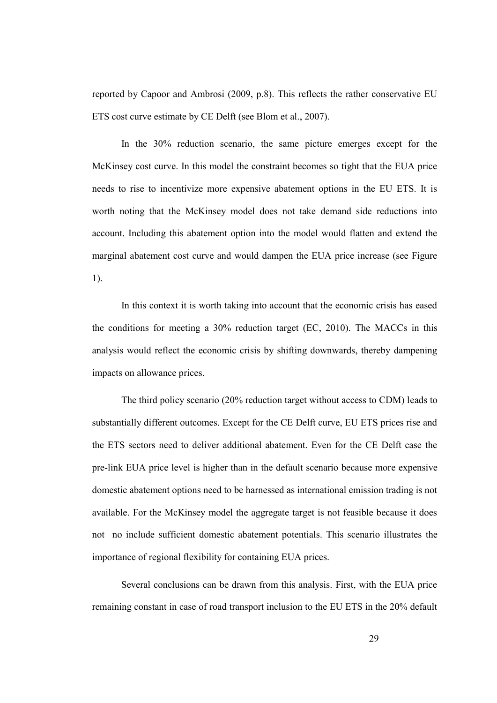reported by Capoor and Ambrosi (2009, p.8). This reflects the rather conservative EU ETS cost curve estimate by CE Delft (see Blom et al., 2007).

In the 30% reduction scenario, the same picture emerges except for the McKinsey cost curve. In this model the constraint becomes so tight that the EUA price needs to rise to incentivize more expensive abatement options in the EU ETS. It is worth noting that the McKinsey model does not take demand side reductions into account. Including this abatement option into the model would flatten and extend the marginal abatement cost curve and would dampen the EUA price increase (see Figure 1).

In this context it is worth taking into account that the economic crisis has eased the conditions for meeting a 30% reduction target (EC, 2010). The MACCs in this analysis would reflect the economic crisis by shifting downwards, thereby dampening impacts on allowance prices.

The third policy scenario (20% reduction target without access to CDM) leads to substantially different outcomes. Except for the CE Delft curve, EU ETS prices rise and the ETS sectors need to deliver additional abatement. Even for the CE Delft case the pre-link EUA price level is higher than in the default scenario because more expensive domestic abatement options need to be harnessed as international emission trading is not available. For the McKinsey model the aggregate target is not feasible because it does not no include sufficient domestic abatement potentials. This scenario illustrates the importance of regional flexibility for containing EUA prices.

Several conclusions can be drawn from this analysis. First, with the EUA price remaining constant in case of road transport inclusion to the EU ETS in the 20% default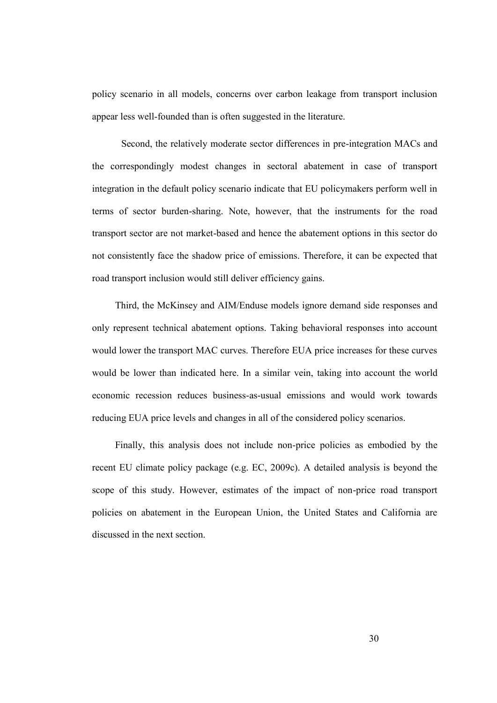policy scenario in all models, concerns over carbon leakage from transport inclusion appear less well-founded than is often suggested in the literature.

Second, the relatively moderate sector differences in pre-integration MACs and the correspondingly modest changes in sectoral abatement in case of transport integration in the default policy scenario indicate that EU policymakers perform well in terms of sector burden-sharing. Note, however, that the instruments for the road transport sector are not market-based and hence the abatement options in this sector do not consistently face the shadow price of emissions. Therefore, it can be expected that road transport inclusion would still deliver efficiency gains.

Third, the McKinsey and AIM/Enduse models ignore demand side responses and only represent technical abatement options. Taking behavioral responses into account would lower the transport MAC curves. Therefore EUA price increases for these curves would be lower than indicated here. In a similar vein, taking into account the world economic recession reduces business-as-usual emissions and would work towards reducing EUA price levels and changes in all of the considered policy scenarios.

Finally, this analysis does not include non-price policies as embodied by the recent EU climate policy package (e.g. EC, 2009c). A detailed analysis is beyond the scope of this study. However, estimates of the impact of non-price road transport policies on abatement in the European Union, the United States and California are discussed in the next section.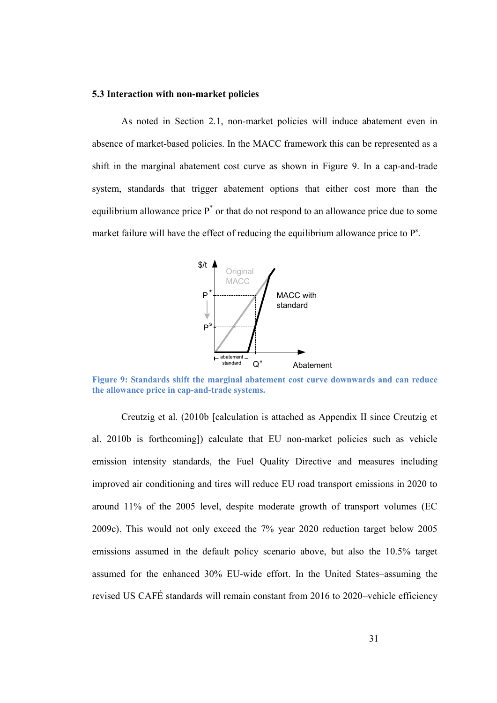#### **5.3 Interaction with non-market policies**

As noted in Section 2.1, non-market policies will induce abatement even in absence of market-based policies. In the MACC framework this can be represented as a shift in the marginal abatement cost curve as shown in Figure 9. In a cap-and-trade system, standards that trigger abatement options that either cost more than the equilibrium allowance price  $P^*$  or that do not respond to an allowance price due to some market failure will have the effect of reducing the equilibrium allowance price to  $P^s$ .



**Figure 9: Standards shift the marginal abatement cost curve downwards and can reduce the allowance price in cap-and-trade systems.**

Creutzig et al. (2010b [calculation is attached as Appendix II since Creutzig et al. 2010b is forthcoming]) calculate that EU non-market policies such as vehicle emission intensity standards, the Fuel Quality Directive and measures including improved air conditioning and tires will reduce EU road transport emissions in 2020 to around 11% of the 2005 level, despite moderate growth of transport volumes (EC 2009c). This would not only exceed the 7% year 2020 reduction target below 2005 emissions assumed in the default policy scenario above, but also the 10.5% target assumed for the enhanced 30% EU-wide effort. In the United States–assuming the revised US CAFÉ standards will remain constant from 2016 to 2020–vehicle efficiency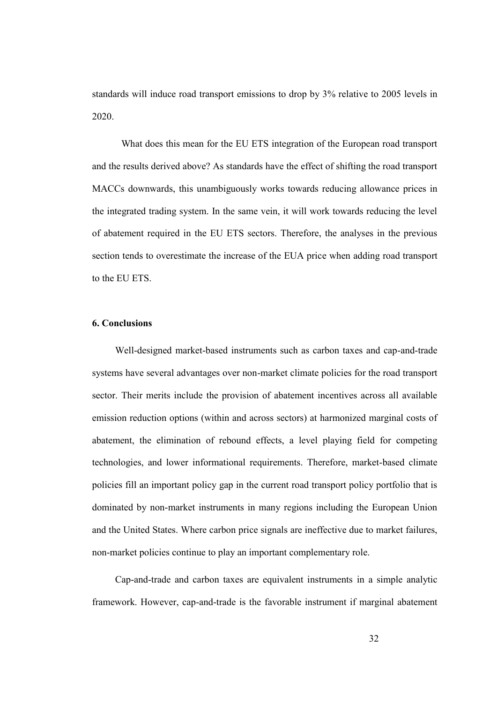standards will induce road transport emissions to drop by 3% relative to 2005 levels in 2020.

What does this mean for the EU ETS integration of the European road transport and the results derived above? As standards have the effect of shifting the road transport MACCs downwards, this unambiguously works towards reducing allowance prices in the integrated trading system. In the same vein, it will work towards reducing the level of abatement required in the EU ETS sectors. Therefore, the analyses in the previous section tends to overestimate the increase of the EUA price when adding road transport to the EU ETS.

## **6. Conclusions**

Well-designed market-based instruments such as carbon taxes and cap-and-trade systems have several advantages over non-market climate policies for the road transport sector. Their merits include the provision of abatement incentives across all available emission reduction options (within and across sectors) at harmonized marginal costs of abatement, the elimination of rebound effects, a level playing field for competing technologies, and lower informational requirements. Therefore, market-based climate policies fill an important policy gap in the current road transport policy portfolio that is dominated by non-market instruments in many regions including the European Union and the United States. Where carbon price signals are ineffective due to market failures, non-market policies continue to play an important complementary role.

Cap-and-trade and carbon taxes are equivalent instruments in a simple analytic framework. However, cap-and-trade is the favorable instrument if marginal abatement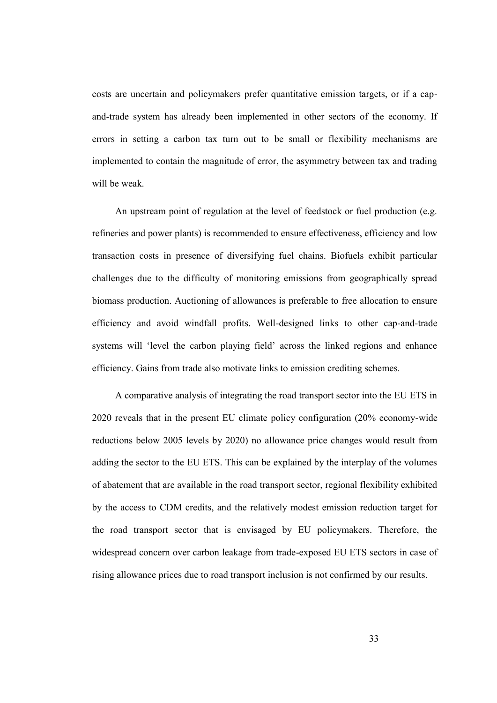costs are uncertain and policymakers prefer quantitative emission targets, or if a capand-trade system has already been implemented in other sectors of the economy. If errors in setting a carbon tax turn out to be small or flexibility mechanisms are implemented to contain the magnitude of error, the asymmetry between tax and trading will be weak.

An upstream point of regulation at the level of feedstock or fuel production (e.g. refineries and power plants) is recommended to ensure effectiveness, efficiency and low transaction costs in presence of diversifying fuel chains. Biofuels exhibit particular challenges due to the difficulty of monitoring emissions from geographically spread biomass production. Auctioning of allowances is preferable to free allocation to ensure efficiency and avoid windfall profits. Well-designed links to other cap-and-trade systems will 'level the carbon playing field' across the linked regions and enhance efficiency. Gains from trade also motivate links to emission crediting schemes.

A comparative analysis of integrating the road transport sector into the EU ETS in 2020 reveals that in the present EU climate policy configuration (20% economy-wide reductions below 2005 levels by 2020) no allowance price changes would result from adding the sector to the EU ETS. This can be explained by the interplay of the volumes of abatement that are available in the road transport sector, regional flexibility exhibited by the access to CDM credits, and the relatively modest emission reduction target for the road transport sector that is envisaged by EU policymakers. Therefore, the widespread concern over carbon leakage from trade-exposed EU ETS sectors in case of rising allowance prices due to road transport inclusion is not confirmed by our results.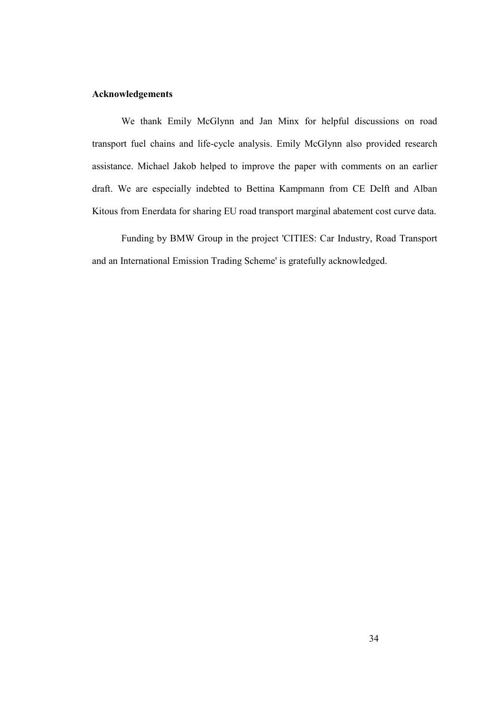## **Acknowledgements**

We thank Emily McGlynn and Jan Minx for helpful discussions on road transport fuel chains and life-cycle analysis. Emily McGlynn also provided research assistance. Michael Jakob helped to improve the paper with comments on an earlier draft. We are especially indebted to Bettina Kampmann from CE Delft and Alban Kitous from Enerdata for sharing EU road transport marginal abatement cost curve data.

Funding by BMW Group in the project 'CITIES: Car Industry, Road Transport and an International Emission Trading Scheme' is gratefully acknowledged.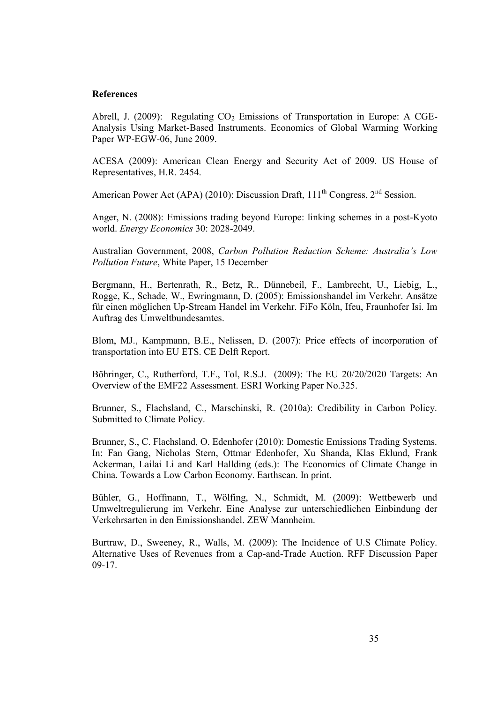#### **References**

Abrell, J. (2009): Regulating  $CO<sub>2</sub>$  Emissions of Transportation in Europe: A CGE-Analysis Using Market-Based Instruments. Economics of Global Warming Working Paper WP-EGW-06, June 2009.

ACESA (2009): American Clean Energy and Security Act of 2009. US House of Representatives, H.R. 2454.

American Power Act (APA) (2010): Discussion Draft,  $111<sup>th</sup>$  Congress,  $2<sup>nd</sup>$  Session.

Anger, N. (2008): Emissions trading beyond Europe: linking schemes in a post-Kyoto world. *Energy Economics* 30: 2028-2049.

Australian Government, 2008, *Carbon Pollution Reduction Scheme: Australia's Low Pollution Future*, White Paper, 15 December

Bergmann, H., Bertenrath, R., Betz, R., Dünnebeil, F., Lambrecht, U., Liebig, L., Rogge, K., Schade, W., Ewringmann, D. (2005): Emissionshandel im Verkehr. Ansätze für einen möglichen Up-Stream Handel im Verkehr. FiFo Köln, Ifeu, Fraunhofer Isi. Im Auftrag des Umweltbundesamtes.

Blom, MJ., Kampmann, B.E., Nelissen, D. (2007): Price effects of incorporation of transportation into EU ETS. CE Delft Report.

Böhringer, C., Rutherford, T.F., Tol, R.S.J. (2009): The EU 20/20/2020 Targets: An Overview of the EMF22 Assessment. ESRI Working Paper No.325.

Brunner, S., Flachsland, C., Marschinski, R. (2010a): Credibility in Carbon Policy. Submitted to Climate Policy.

Brunner, S., C. Flachsland, O. Edenhofer (2010): Domestic Emissions Trading Systems. In: Fan Gang, Nicholas Stern, Ottmar Edenhofer, Xu Shanda, Klas Eklund, Frank Ackerman, Lailai Li and Karl Hallding (eds.): The Economics of Climate Change in China. Towards a Low Carbon Economy. Earthscan. In print.

Bühler, G., Hoffmann, T., Wölfing, N., Schmidt, M. (2009): Wettbewerb und Umweltregulierung im Verkehr. Eine Analyse zur unterschiedlichen Einbindung der Verkehrsarten in den Emissionshandel. ZEW Mannheim.

Burtraw, D., Sweeney, R., Walls, M. (2009): The Incidence of U.S Climate Policy. Alternative Uses of Revenues from a Cap-and-Trade Auction. RFF Discussion Paper 09-17.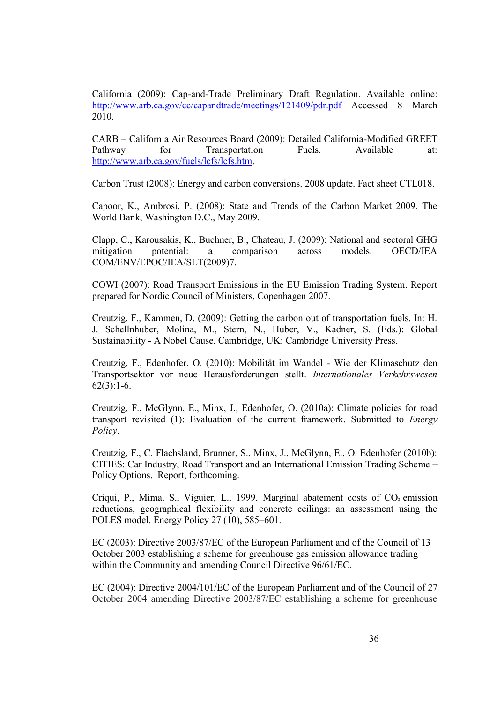California (2009): Cap-and-Trade Preliminary Draft Regulation. Available online: http://www.arb.ca.gov/cc/capandtrade/meetings/121409/pdr.pdf Accessed 8 March 2010.

CARB – California Air Resources Board (2009): Detailed California-Modified GREET Pathway for Transportation Fuels. Available at: http://www.arb.ca.gov/fuels/lcfs/lcfs.htm.

Carbon Trust (2008): Energy and carbon conversions. 2008 update. Fact sheet CTL018.

Capoor, K., Ambrosi, P. (2008): State and Trends of the Carbon Market 2009. The World Bank, Washington D.C., May 2009.

Clapp, C., Karousakis, K., Buchner, B., Chateau, J. (2009): National and sectoral GHG mitigation potential: a comparison across models. OECD/IEA COM/ENV/EPOC/IEA/SLT(2009)7.

COWI (2007): Road Transport Emissions in the EU Emission Trading System. Report prepared for Nordic Council of Ministers, Copenhagen 2007.

Creutzig, F., Kammen, D. (2009): Getting the carbon out of transportation fuels. In: H. J. Schellnhuber, Molina, M., Stern, N., Huber, V., Kadner, S. (Eds.): Global Sustainability - A Nobel Cause. Cambridge, UK: Cambridge University Press.

Creutzig, F., Edenhofer. O. (2010): Mobilität im Wandel - Wie der Klimaschutz den Transportsektor vor neue Herausforderungen stellt. *Internationales Verkehrswesen*  $62(3):1-6.$ 

Creutzig, F., McGlynn, E., Minx, J., Edenhofer, O. (2010a): Climate policies for road transport revisited (1): Evaluation of the current framework. Submitted to *Energy Policy*.

Creutzig, F., C. Flachsland, Brunner, S., Minx, J., McGlynn, E., O. Edenhofer (2010b): CITIES: Car Industry, Road Transport and an International Emission Trading Scheme – Policy Options. Report, forthcoming.

Criqui, P., Mima, S., Viguier, L., 1999. Marginal abatement costs of CO<sub>2</sub> emission reductions, geographical flexibility and concrete ceilings: an assessment using the POLES model. Energy Policy 27 (10), 585–601.

EC (2003): Directive 2003/87/EC of the European Parliament and of the Council of 13 October 2003 establishing a scheme for greenhouse gas emission allowance trading within the Community and amending Council Directive 96/61/EC.

EC (2004): Directive 2004/101/EC of the European Parliament and of the Council of 27 October 2004 amending Directive 2003/87/EC establishing a scheme for greenhouse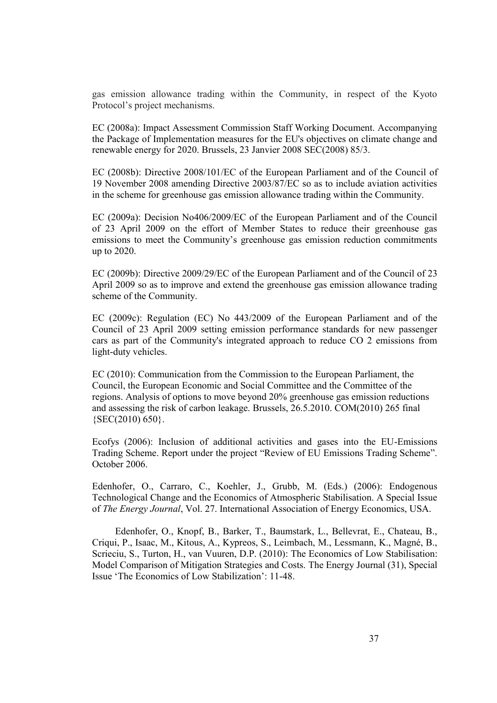gas emission allowance trading within the Community, in respect of the Kyoto Protocol's project mechanisms.

EC (2008a): Impact Assessment Commission Staff Working Document. Accompanying the Package of Implementation measures for the EU's objectives on climate change and renewable energy for 2020. Brussels, 23 Janvier 2008 SEC(2008) 85/3.

EC (2008b): Directive 2008/101/EC of the European Parliament and of the Council of 19 November 2008 amending Directive 2003/87/EC so as to include aviation activities in the scheme for greenhouse gas emission allowance trading within the Community.

EC (2009a): Decision No406/2009/EC of the European Parliament and of the Council of 23 April 2009 on the effort of Member States to reduce their greenhouse gas emissions to meet the Community's greenhouse gas emission reduction commitments up to 2020.

EC (2009b): Directive 2009/29/EC of the European Parliament and of the Council of 23 April 2009 so as to improve and extend the greenhouse gas emission allowance trading scheme of the Community.

EC (2009c): Regulation (EC) No 443/2009 of the European Parliament and of the Council of 23 April 2009 setting emission performance standards for new passenger cars as part of the Community's integrated approach to reduce CO 2 emissions from light-duty vehicles.

EC (2010): Communication from the Commission to the European Parliament, the Council, the European Economic and Social Committee and the Committee of the regions. Analysis of options to move beyond 20% greenhouse gas emission reductions and assessing the risk of carbon leakage. Brussels, 26.5.2010. COM(2010) 265 final {SEC(2010) 650}.

Ecofys (2006): Inclusion of additional activities and gases into the EU-Emissions Trading Scheme. Report under the project "Review of EU Emissions Trading Scheme". October 2006.

Edenhofer, O., Carraro, C., Koehler, J., Grubb, M. (Eds.) (2006): Endogenous Technological Change and the Economics of Atmospheric Stabilisation. A Special Issue of *The Energy Journal*, Vol. 27. International Association of Energy Economics, USA.

Edenhofer, O., Knopf, B., Barker, T., Baumstark, L., Bellevrat, E., Chateau, B., Criqui, P., Isaac, M., Kitous, A., Kypreos, S., Leimbach, M., Lessmann, K., Magné, B., Scrieciu, S., Turton, H., van Vuuren, D.P. (2010): The Economics of Low Stabilisation: Model Comparison of Mitigation Strategies and Costs. The Energy Journal (31), Special Issue 'The Economics of Low Stabilization': 11-48.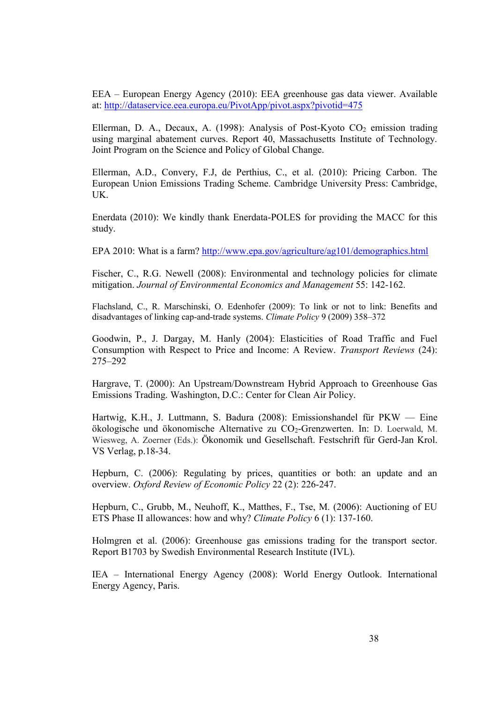EEA – European Energy Agency (2010): EEA greenhouse gas data viewer. Available at: http://dataservice.eea.europa.eu/PivotApp/pivot.aspx?pivotid=475

Ellerman, D. A., Decaux, A. (1998): Analysis of Post-Kyoto  $CO<sub>2</sub>$  emission trading using marginal abatement curves. Report 40, Massachusetts Institute of Technology. Joint Program on the Science and Policy of Global Change.

Ellerman, A.D., Convery, F.J, de Perthius, C., et al. (2010): Pricing Carbon. The European Union Emissions Trading Scheme. Cambridge University Press: Cambridge, UK.

Enerdata (2010): We kindly thank Enerdata-POLES for providing the MACC for this study.

EPA 2010: What is a farm? http://www.epa.gov/agriculture/ag101/demographics.html

Fischer, C., R.G. Newell (2008): Environmental and technology policies for climate mitigation. *Journal of Environmental Economics and Management* 55: 142-162.

Flachsland, C., R. Marschinski, O. Edenhofer (2009): To link or not to link: Benefits and disadvantages of linking cap-and-trade systems. *Climate Policy* 9 (2009) 358–372

Goodwin, P., J. Dargay, M. Hanly (2004): Elasticities of Road Traffic and Fuel Consumption with Respect to Price and Income: A Review. *Transport Reviews* (24): 275–292

Hargrave, T. (2000): An Upstream/Downstream Hybrid Approach to Greenhouse Gas Emissions Trading. Washington, D.C.: Center for Clean Air Policy.

Hartwig, K.H., J. Luttmann, S. Badura (2008): Emissionshandel für PKW — Eine ökologische und ökonomische Alternative zu CO2-Grenzwerten. In: D. Loerwald, M. Wiesweg, A. Zoerner (Eds.): Ökonomik und Gesellschaft. Festschrift für Gerd-Jan Krol. VS Verlag, p.18-34.

Hepburn, C. (2006): Regulating by prices, quantities or both: an update and an overview. *Oxford Review of Economic Policy* 22 (2): 226-247.

Hepburn, C., Grubb, M., Neuhoff, K., Matthes, F., Tse, M. (2006): Auctioning of EU ETS Phase II allowances: how and why? *Climate Policy* 6 (1): 137-160.

Holmgren et al. (2006): Greenhouse gas emissions trading for the transport sector. Report B1703 by Swedish Environmental Research Institute (IVL).

IEA – International Energy Agency (2008): World Energy Outlook. International Energy Agency, Paris.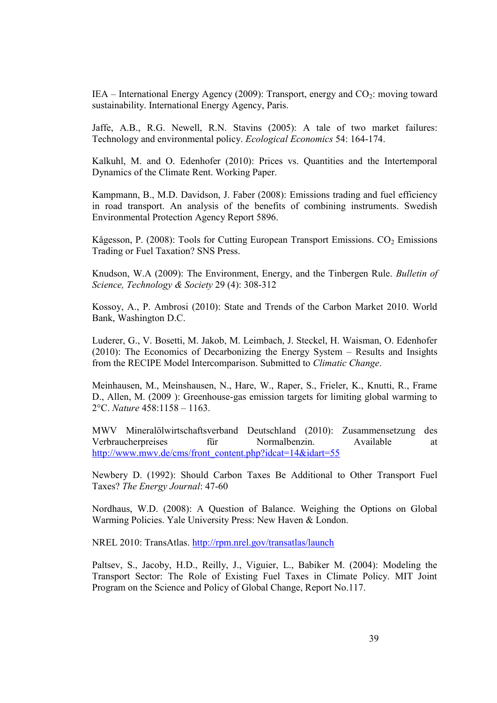IEA – International Energy Agency (2009): Transport, energy and  $CO_2$ : moving toward sustainability. International Energy Agency, Paris.

Jaffe, A.B., R.G. Newell, R.N. Stavins (2005): A tale of two market failures: Technology and environmental policy. *Ecological Economics* 54: 164-174.

Kalkuhl, M. and O. Edenhofer (2010): Prices vs. Quantities and the Intertemporal Dynamics of the Climate Rent. Working Paper.

Kampmann, B., M.D. Davidson, J. Faber (2008): Emissions trading and fuel efficiency in road transport. An analysis of the benefits of combining instruments. Swedish Environmental Protection Agency Report 5896.

Kågesson, P. (2008): Tools for Cutting European Transport Emissions.  $CO<sub>2</sub>$  Emissions Trading or Fuel Taxation? SNS Press.

Knudson, W.A (2009): The Environment, Energy, and the Tinbergen Rule. *Bulletin of Science, Technology & Society* 29 (4): 308-312

Kossoy, A., P. Ambrosi (2010): State and Trends of the Carbon Market 2010. World Bank, Washington D.C.

Luderer, G., V. Bosetti, M. Jakob, M. Leimbach, J. Steckel, H. Waisman, O. Edenhofer (2010): The Economics of Decarbonizing the Energy System – Results and Insights from the RECIPE Model Intercomparison. Submitted to *Climatic Change*.

Meinhausen, M., Meinshausen, N., Hare, W., Raper, S., Frieler, K., Knutti, R., Frame D., Allen, M. (2009 ): Greenhouse-gas emission targets for limiting global warming to 2°C. *Nature* 458:1158 – 1163.

MWV Mineralölwirtschaftsverband Deutschland (2010): Zusammensetzung des Verbraucherpreises für Normalbenzin. Available at http://www.mwv.de/cms/front\_content.php?idcat=14&idart=55

Newbery D. (1992): Should Carbon Taxes Be Additional to Other Transport Fuel Taxes? *The Energy Journal*: 47-60

Nordhaus, W.D. (2008): A Question of Balance. Weighing the Options on Global Warming Policies. Yale University Press: New Haven & London.

NREL 2010: TransAtlas. http://rpm.nrel.gov/transatlas/launch

Paltsev, S., Jacoby, H.D., Reilly, J., Viguier, L., Babiker M. (2004): Modeling the Transport Sector: The Role of Existing Fuel Taxes in Climate Policy. MIT Joint Program on the Science and Policy of Global Change, Report No.117.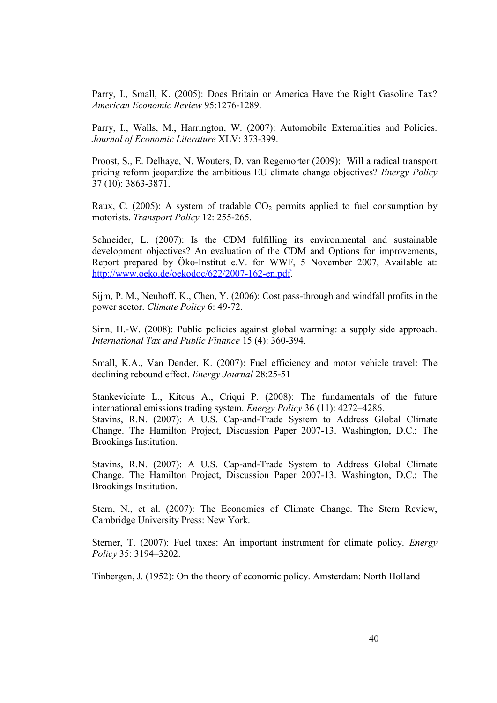Parry, I., Small, K. (2005): Does Britain or America Have the Right Gasoline Tax? *American Economic Review* 95:1276-1289.

Parry, I., Walls, M., Harrington, W. (2007): Automobile Externalities and Policies. *Journal of Economic Literature* XLV: 373-399.

Proost, S., E. Delhaye, N. Wouters, D. van Regemorter (2009): Will a radical transport pricing reform jeopardize the ambitious EU climate change objectives? *Energy Policy* 37 (10): 3863-3871.

Raux, C. (2005): A system of tradable  $CO<sub>2</sub>$  permits applied to fuel consumption by motorists. *Transport Policy* 12: 255-265.

Schneider, L. (2007): Is the CDM fulfilling its environmental and sustainable development objectives? An evaluation of the CDM and Options for improvements, Report prepared by Öko-Institut e.V. for WWF, 5 November 2007, Available at: http://www.oeko.de/oekodoc/622/2007-162-en.pdf.

Sijm, P. M., Neuhoff, K., Chen, Y. (2006): Cost pass-through and windfall profits in the power sector. *Climate Policy* 6: 49-72.

Sinn, H.-W. (2008): Public policies against global warming: a supply side approach. *International Tax and Public Finance* 15 (4): 360-394.

Small, K.A., Van Dender, K. (2007): Fuel efficiency and motor vehicle travel: The declining rebound effect. *Energy Journal* 28:25-51

Stankeviciute L., Kitous A., Criqui P. (2008): The fundamentals of the future international emissions trading system. *Energy Policy* 36 (11): 4272–4286. Stavins, R.N. (2007): A U.S. Cap-and-Trade System to Address Global Climate Change. The Hamilton Project, Discussion Paper 2007-13. Washington, D.C.: The Brookings Institution.

Stavins, R.N. (2007): A U.S. Cap-and-Trade System to Address Global Climate Change. The Hamilton Project, Discussion Paper 2007-13. Washington, D.C.: The Brookings Institution.

Stern, N., et al. (2007): The Economics of Climate Change. The Stern Review, Cambridge University Press: New York.

Sterner, T. (2007): Fuel taxes: An important instrument for climate policy. *Energy Policy* 35: 3194–3202.

Tinbergen, J. (1952): On the theory of economic policy. Amsterdam: North Holland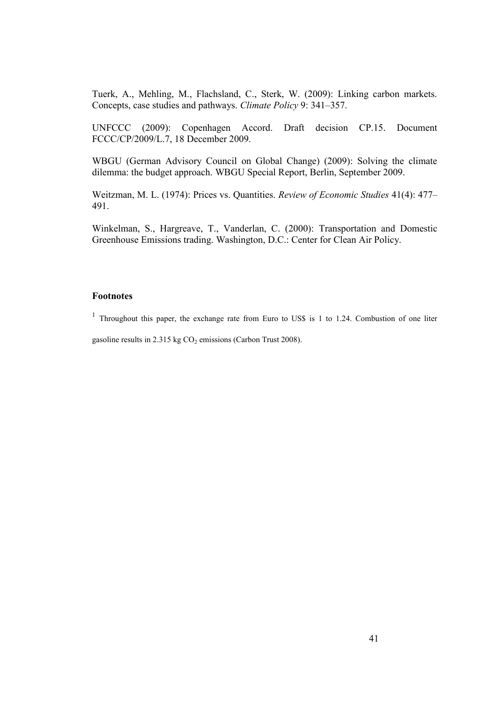Tuerk, A., Mehling, M., Flachsland, C., Sterk, W. (2009): Linking carbon markets. Concepts, case studies and pathways. *Climate Policy* 9: 341–357.

UNFCCC (2009): Copenhagen Accord. Draft decision CP.15. Document FCCC/CP/2009/L.7, 18 December 2009.

WBGU (German Advisory Council on Global Change) (2009): Solving the climate dilemma: the budget approach. WBGU Special Report, Berlin, September 2009.

Weitzman, M. L. (1974): Prices vs. Quantities. *Review of Economic Studies* 41(4): 477– 491.

Winkelman, S., Hargreave, T., Vanderlan, C. (2000): Transportation and Domestic Greenhouse Emissions trading. Washington, D.C.: Center for Clean Air Policy.

# **Footnotes**

<sup>1</sup> Throughout this paper, the exchange rate from Euro to US\$ is 1 to 1.24. Combustion of one liter gasoline results in 2.315 kg  $CO<sub>2</sub>$  emissions (Carbon Trust 2008).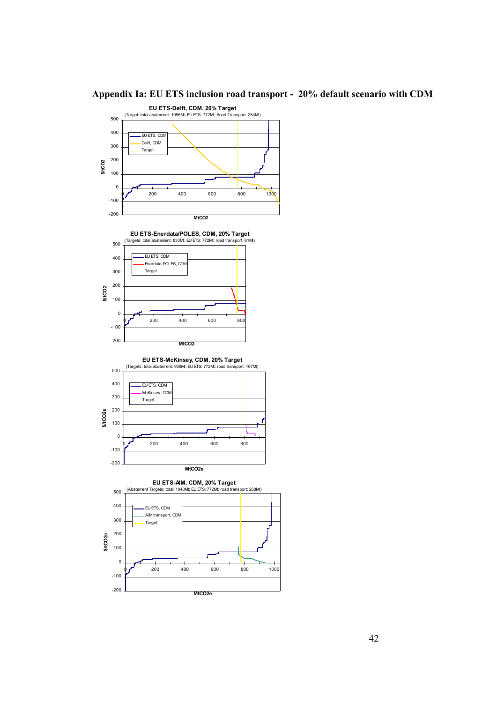

# **Appendix Ia: EU ETS inclusion road transport - 20% default scenario with CDM**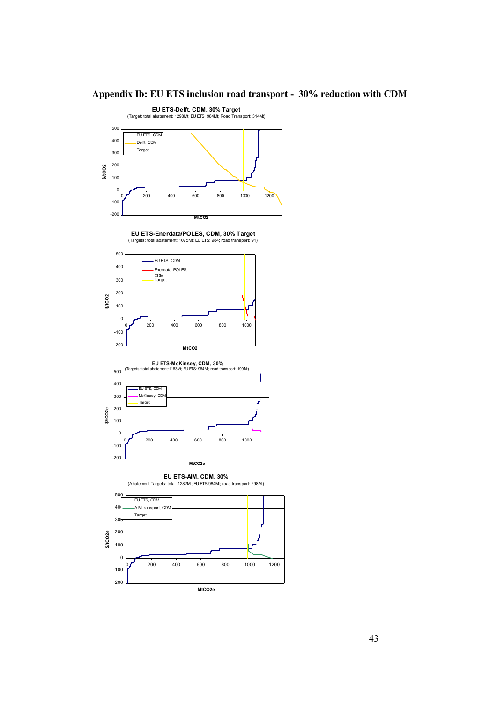

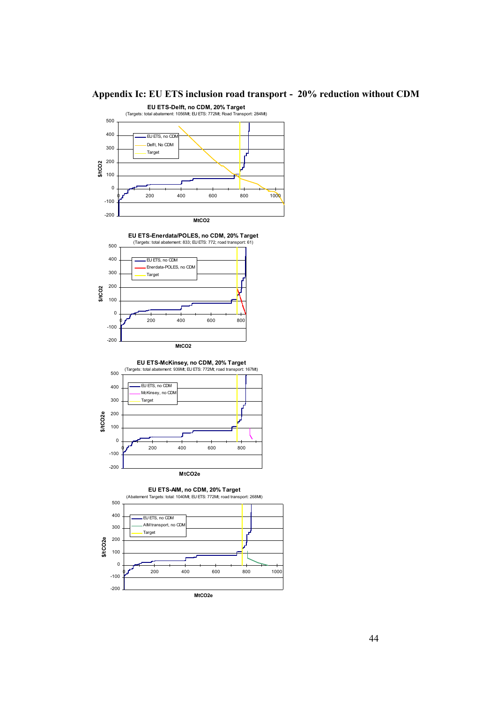

**MtCO2e**

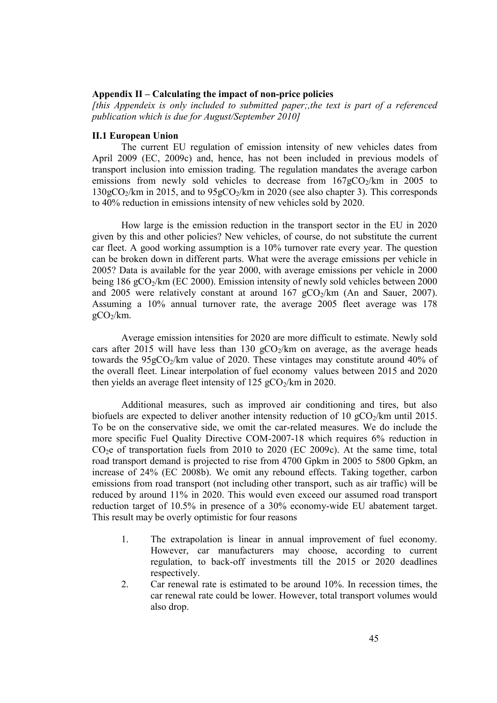# **Appendix II – Calculating the impact of non-price policies**

*[this Appendeix is only included to submitted paper;,the text is part of a referenced publication which is due for August/September 2010]*

#### **II.1 European Union**

The current EU regulation of emission intensity of new vehicles dates from April 2009 (EC, 2009c) and, hence, has not been included in previous models of transport inclusion into emission trading. The regulation mandates the average carbon emissions from newly sold vehicles to decrease from  $167gCO<sub>2</sub>/km$  in 2005 to  $130gCO<sub>2</sub>/km$  in 2015, and to  $95gCO<sub>2</sub>/km$  in 2020 (see also chapter 3). This corresponds to 40% reduction in emissions intensity of new vehicles sold by 2020.

How large is the emission reduction in the transport sector in the EU in 2020 given by this and other policies? New vehicles, of course, do not substitute the current car fleet. A good working assumption is a 10% turnover rate every year. The question can be broken down in different parts. What were the average emissions per vehicle in 2005? Data is available for the year 2000, with average emissions per vehicle in 2000 being 186 gCO2/km (EC 2000). Emission intensity of newly sold vehicles between 2000 and 2005 were relatively constant at around  $167 \text{ gCO}_2/\text{km}$  (An and Sauer, 2007). Assuming a 10% annual turnover rate, the average 2005 fleet average was 178  $gCO<sub>2</sub>/km$ .

Average emission intensities for 2020 are more difficult to estimate. Newly sold cars after 2015 will have less than 130  $gCO<sub>2</sub>/km$  on average, as the average heads towards the  $95gCO<sub>2</sub>/km$  value of 2020. These vintages may constitute around 40% of the overall fleet. Linear interpolation of fuel economy values between 2015 and 2020 then yields an average fleet intensity of  $125 \text{ gCO}_2/\text{km}$  in 2020.

Additional measures, such as improved air conditioning and tires, but also biofuels are expected to deliver another intensity reduction of 10  $gCO<sub>2</sub>/km$  until 2015. To be on the conservative side, we omit the car-related measures. We do include the more specific Fuel Quality Directive COM-2007-18 which requires 6% reduction in CO2e of transportation fuels from 2010 to 2020 (EC 2009c). At the same time, total road transport demand is projected to rise from 4700 Gpkm in 2005 to 5800 Gpkm, an increase of 24% (EC 2008b). We omit any rebound effects. Taking together, carbon emissions from road transport (not including other transport, such as air traffic) will be reduced by around 11% in 2020. This would even exceed our assumed road transport reduction target of 10.5% in presence of a 30% economy-wide EU abatement target. This result may be overly optimistic for four reasons

- 1. The extrapolation is linear in annual improvement of fuel economy. However, car manufacturers may choose, according to current regulation, to back-off investments till the 2015 or 2020 deadlines respectively.
- 2. Car renewal rate is estimated to be around 10%. In recession times, the car renewal rate could be lower. However, total transport volumes would also drop.